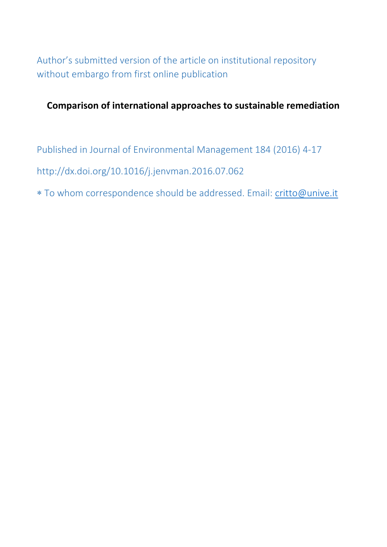Author's submitted version of the article on institutional repository without embargo from first online publication

# **Comparison of international approaches to sustainable remediation**

Published in Journal of Environmental Management 184 (2016) 4-17 <http://dx.doi.org/10.1016/j.jenvman.2016.07.062>

To whom correspondence should be addressed. Email: [critto@unive.it](mailto:critto@unive.it)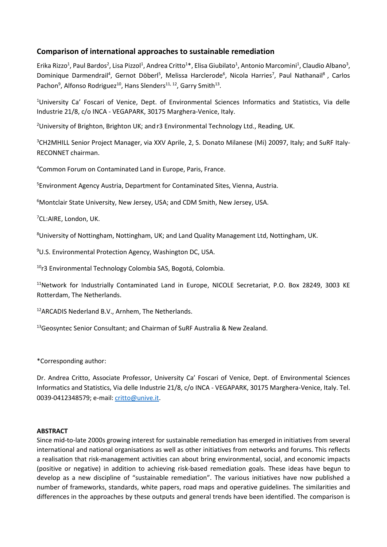# **Comparison of international approaches to sustainable remediation**

Erika Rizzo<sup>1</sup>, Paul Bardos<sup>2</sup>, Lisa Pizzol<sup>1</sup>, Andrea Critto<sup>1\*</sup>, Elisa Giubilato<sup>1</sup>, Antonio Marcomini<sup>1</sup>, Claudio Albano<sup>3</sup>, Dominique Darmendrail<sup>4</sup>, Gernot Döberl<sup>5</sup>, Melissa Harclerode<sup>6</sup>, Nicola Harries<sup>7</sup>, Paul Nathanail<sup>8</sup>, Carlos Pachon<sup>9</sup>, Alfonso Rodriguez<sup>10</sup>, Hans Slenders<sup>11, 12</sup>, Garry Smith<sup>13</sup>.

<sup>1</sup>University Ca' Foscari of Venice, Dept. of Environmental Sciences Informatics and Statistics, Via delle Industrie 21/8, c/o INCA - VEGAPARK, 30175 Marghera-Venice, Italy.

<sup>2</sup>University of Brighton, Brighton UK; and r3 Environmental Technology Ltd., Reading, UK.

<sup>3</sup>CH2MHILL Senior Project Manager, via XXV Aprile, 2, S. Donato Milanese (Mi) 20097, Italy; and SuRF Italy-RECONNET chairman.

<sup>4</sup>Common Forum on Contaminated Land in Europe, Paris, France.

<sup>5</sup>Environment Agency Austria, Department for Contaminated Sites, Vienna, Austria.

<sup>6</sup>Montclair State University, New Jersey, USA; and CDM Smith, New Jersey, USA.

<sup>7</sup>CL:AIRE, London, UK.

<sup>8</sup>University of Nottingham, Nottingham, UK; and Land Quality Management Ltd, Nottingham, UK.

<sup>9</sup>U.S. Environmental Protection Agency, Washington DC, USA.

<sup>10</sup>r3 Environmental Technology Colombia SAS, Bogotá, Colombia.

<sup>11</sup>Network for Industrially Contaminated Land in Europe, NICOLE Secretariat, P.O. Box 28249, 3003 KE Rotterdam, The Netherlands.

<sup>12</sup>ARCADIS Nederland B.V., Arnhem, The Netherlands.

<sup>13</sup>Geosyntec Senior Consultant: and Chairman of SuRF Australia & New Zealand.

\*Corresponding author:

Dr. Andrea Critto, Associate Professor, University Ca' Foscari of Venice, Dept. of Environmental Sciences Informatics and Statistics, Via delle Industrie 21/8, c/o INCA - VEGAPARK, 30175 Marghera-Venice, Italy. Tel. 0039-0412348579; e-mail: [critto@unive.it.](mailto:critto@unive.it)

### **ABSTRACT**

Since mid-to-late 2000s growing interest for sustainable remediation has emerged in initiatives from several international and national organisations as well as other initiatives from networks and forums. This reflects a realisation that risk-management activities can about bring environmental, social, and economic impacts (positive or negative) in addition to achieving risk-based remediation goals. These ideas have begun to develop as a new discipline of "sustainable remediation". The various initiatives have now published a number of frameworks, standards, white papers, road maps and operative guidelines. The similarities and differences in the approaches by these outputs and general trends have been identified. The comparison is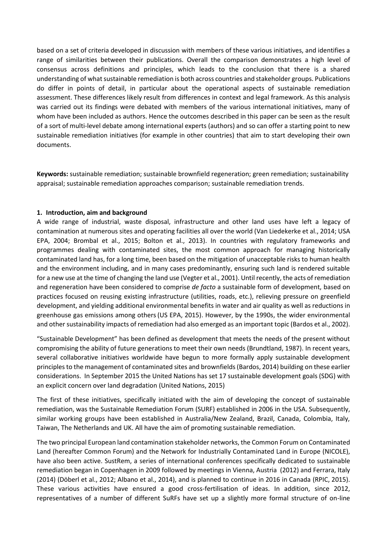based on a set of criteria developed in discussion with members of these various initiatives, and identifies a range of similarities between their publications. Overall the comparison demonstrates a high level of consensus across definitions and principles, which leads to the conclusion that there is a shared understanding of what sustainable remediation is both across countries and stakeholder groups. Publications do differ in points of detail, in particular about the operational aspects of sustainable remediation assessment. These differences likely result from differences in context and legal framework. As this analysis was carried out its findings were debated with members of the various international initiatives, many of whom have been included as authors. Hence the outcomes described in this paper can be seen as the result of a sort of multi-level debate among international experts (authors) and so can offer a starting point to new sustainable remediation initiatives (for example in other countries) that aim to start developing their own documents.

**Keywords:** sustainable remediation; sustainable brownfield regeneration; green remediation; sustainability appraisal; sustainable remediation approaches comparison; sustainable remediation trends.

### **1. Introduction, aim and background**

A wide range of industrial, waste disposal, infrastructure and other land uses have left a legacy of contamination at numerous sites and operating facilities all over the world (Van Liedekerke et al., 2014; USA EPA, 2004; Brombal et al., 2015; Bolton et al., 2013). In countries with regulatory frameworks and programmes dealing with contaminated sites, the most common approach for managing historically contaminated land has, for a long time, been based on the mitigation of unacceptable risks to human health and the environment including, and in many cases predominantly, ensuring such land is rendered suitable for a new use at the time of changing the land use (Vegter et al., 2001). Until recently, the acts of remediation and regeneration have been considered to comprise *de facto* a sustainable form of development, based on practices focused on reusing existing infrastructure (utilities, roads, etc.), relieving pressure on greenfield development, and yielding additional environmental benefits in water and air quality as well as reductions in greenhouse gas emissions among others(US EPA, 2015). However, by the 1990s, the wider environmental and other sustainability impacts of remediation had also emerged as an important topic (Bardos et al., 2002).

"Sustainable Development" has been defined as development that meets the needs of the present without compromising the ability of future generations to meet their own needs (Brundtland, 1987). In recent years, several collaborative initiatives worldwide have begun to more formally apply sustainable development principles to the management of contaminated sites and brownfields (Bardos, 2014) building on these earlier considerations. In September 2015 the United Nations has set 17 sustainable development goals (SDG) with an explicit concern over land degradation (United Nations, 2015)

The first of these initiatives, specifically initiated with the aim of developing the concept of sustainable remediation, was the Sustainable Remediation Forum (SURF) established in 2006 in the USA. Subsequently, similar working groups have been established in Australia/New Zealand, Brazil, Canada, Colombia, Italy, Taiwan, The Netherlands and UK. All have the aim of promoting sustainable remediation.

The two principal European land contamination stakeholder networks, the Common Forum on Contaminated Land (hereafter Common Forum) and the Network for Industrially Contaminated Land in Europe (NICOLE), have also been active. SustRem, a series of international conferences specifically dedicated to sustainable remediation began in Copenhagen in 2009 followed by meetings in Vienna, Austria (2012) and Ferrara, Italy (2014) (Döberl et al., 2012; Albano et al., 2014), and is planned to continue in 2016 in Canada (RPIC, 2015). These various activities have ensured a good cross-fertilisation of ideas. In addition, since 2012, representatives of a number of different SuRFs have set up a slightly more formal structure of on-line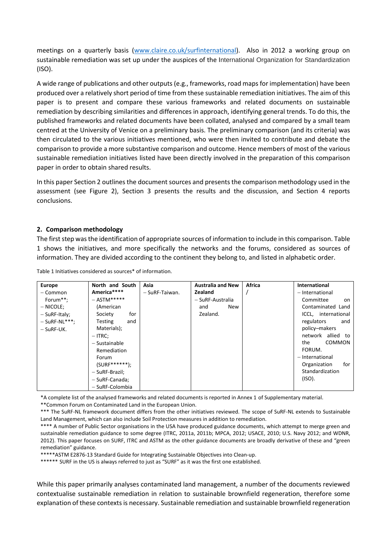meetings on a quarterly basis [\(www.claire.co.uk/surfinternational\)](http://www.claire.co.uk/surfinternational). Also in 2012 a working group on sustainable remediation was set up under the auspices of the International Organization for Standardization (ISO).

A wide range of publications and other outputs (e.g., frameworks, road maps for implementation) have been produced over a relatively short period of time from these sustainable remediation initiatives. The aim of this paper is to present and compare these various frameworks and related documents on sustainable remediation by describing similarities and differences in approach, identifying general trends. To do this, the published frameworks and related documents have been collated, analysed and compared by a small team centred at the University of Venice on a preliminary basis. The preliminary comparison (and its criteria) was then circulated to the various initiatives mentioned, who were then invited to contribute and debate the comparison to provide a more substantive comparison and outcome. Hence members of most of the various sustainable remediation initiatives listed have been directly involved in the preparation of this comparison paper in order to obtain shared results.

In this paper Section 2 outlines the document sources and presents the comparison methodology used in the assessment (see [Figure 2\)](#page-7-0), Section 3 presents the results and the discussion, and Section 4 reports conclusions.

### **2. Comparison methodology**

The first step was the identification of appropriate sources of information to include in this comparison[. Table](#page-3-0)  [1](#page-3-0) shows the initiatives, and more specifically the networks and the forums, considered as sources of information. They are divided according to the continent they belong to, and listed in alphabetic order.

| Europe          | North and South | Asia             | <b>Australia and New</b> | <b>Africa</b> | <b>International</b> |
|-----------------|-----------------|------------------|--------------------------|---------------|----------------------|
| - Common        | America****     | $-$ SuRF-Taiwan. | Zealand                  |               | $-$ International    |
| Forum**:        | $-$ ASTM*****   |                  | - SuRF-Australia         |               | Committee<br>on      |
| – NICOLE;       | (American       |                  | New<br>and               |               | Contaminated Land    |
| $-$ SuRF-Italy; | for<br>Society  |                  | Zealand.                 |               | ICCL, international  |
| $-SuRF-NL***;$  | and<br>Testing  |                  |                          |               | regulators<br>and    |
| $-$ SuRF-UK.    | Materials);     |                  |                          |               | policy-makers        |
|                 | $-$ ITRC:       |                  |                          |               | network allied to    |
|                 | $-$ Sustainable |                  |                          |               | COMMON<br>the        |
|                 | Remediation     |                  |                          |               | FORUM.               |
|                 | Forum           |                  |                          |               | $-$ International    |
|                 | $(SURF*****)$ : |                  |                          |               | for<br>Organization  |
|                 | - SuRF-Brazil;  |                  |                          |               | Standardization      |
|                 | - SuRF-Canada;  |                  |                          |               | $(ISO)$ .            |
|                 | - SuRF-Colombia |                  |                          |               |                      |

<span id="page-3-0"></span>Table 1 Initiatives considered as sources\* of information.

\*A complete list of the analysed frameworks and related documents is reported in Annex 1 of Supplementary material.

\*\*Common Forum on Contaminated Land in the European Union.

\*\*\* The SuRF-NL framework document differs from the other initiatives reviewed. The scope of SuRF-NL extends to Sustainable Land Management, which can also include Soil Protection measures in addition to remediation.

\*\*\*\* A number of Public Sector organisations in the USA have produced guidance documents, which attempt to merge green and sustainable remediation guidance to some degree (ITRC, 2011a, 2011b; MPCA, 2012; USACE, 2010; U.S. Navy 2012; and WDNR, 2012). This paper focuses on SURF, ITRC and ASTM as the other guidance documents are broadly derivative of these and "green remediation" guidance.

\*\*\*\*\*ASTM E2876-13 Standard Guide for Integrating Sustainable Objectives into Clean-up.

\*\*\*\*\*\* SURF in the US is always referred to just as "SURF" as it was the first one established.

While this paper primarily analyses contaminated land management, a number of the documents reviewed contextualise sustainable remediation in relation to sustainable brownfield regeneration, therefore some explanation of these contexts is necessary. Sustainable remediation and sustainable brownfield regeneration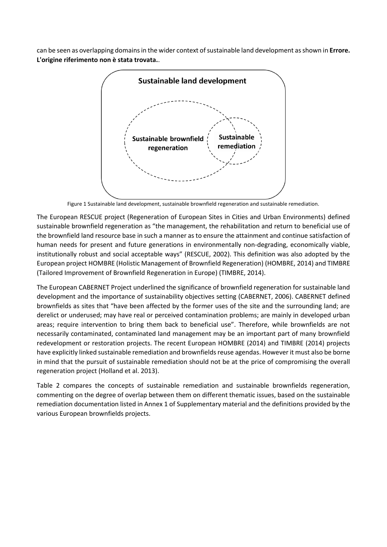can be seen as overlapping domains in the wider context of sustainable land development as shown in **Errore. L'origine riferimento non è stata trovata.**.



Figure 1 Sustainable land development, sustainable brownfield regeneration and sustainable remediation.

The European RESCUE project (Regeneration of European Sites in Cities and Urban Environments) defined sustainable brownfield regeneration as "the management, the rehabilitation and return to beneficial use of the brownfield land resource base in such a manner as to ensure the attainment and continue satisfaction of human needs for present and future generations in environmentally non-degrading, economically viable, institutionally robust and social acceptable ways" (RESCUE, 2002). This definition was also adopted by the European project HOMBRE (Holistic Management of Brownfield Regeneration) (HOMBRE, 2014) and TIMBRE (Tailored Improvement of Brownfield Regeneration in Europe) (TIMBRE, 2014).

The European CABERNET Project underlined the significance of brownfield regeneration for sustainable land development and the importance of sustainability objectives setting (CABERNET, 2006). CABERNET defined brownfields as sites that "have been affected by the former uses of the site and the surrounding land; are derelict or underused; may have real or perceived contamination problems; are mainly in developed urban areas; require intervention to bring them back to beneficial use". Therefore, while brownfields are not necessarily contaminated, contaminated land management may be an important part of many brownfield redevelopment or restoration projects. The recent European HOMBRE (2014) and TIMBRE (2014) projects have explicitly linked sustainable remediation and brownfields reuse agendas. However it must also be borne in mind that the pursuit of sustainable remediation should not be at the price of compromising the overall regeneration project (Holland et al. 2013).

[Table 2](#page-5-0) compares the concepts of sustainable remediation and sustainable brownfields regeneration, commenting on the degree of overlap between them on different thematic issues, based on the sustainable remediation documentation listed in Annex 1 of Supplementary material and the definitions provided by the various European brownfields projects.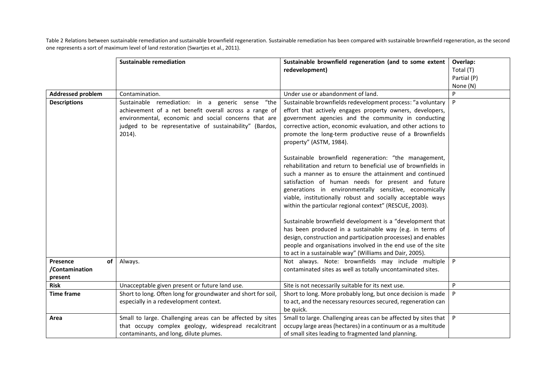Table 2 Relations between sustainable remediation and sustainable brownfield regeneration. Sustainable remediation has been compared with sustainable brownfield regeneration, as the second one represents a sort of maximum level of land restoration (Swartjes et al., 2011).

<span id="page-5-0"></span>

|                          | <b>Sustainable remediation</b>                                | Sustainable brownfield regeneration (and to some extent                                                           | Overlap:    |
|--------------------------|---------------------------------------------------------------|-------------------------------------------------------------------------------------------------------------------|-------------|
|                          |                                                               | redevelopment)                                                                                                    | Total (T)   |
|                          |                                                               |                                                                                                                   | Partial (P) |
|                          |                                                               |                                                                                                                   | None (N)    |
| <b>Addressed problem</b> | Contamination.                                                | Under use or abandonment of land.                                                                                 | P           |
| <b>Descriptions</b>      | Sustainable remediation: in a generic sense "the              | Sustainable brownfields redevelopment process: "a voluntary                                                       | P           |
|                          | achievement of a net benefit overall across a range of        | effort that actively engages property owners, developers,                                                         |             |
|                          | environmental, economic and social concerns that are          | government agencies and the community in conducting                                                               |             |
|                          | judged to be representative of sustainability" (Bardos,       | corrective action, economic evaluation, and other actions to                                                      |             |
|                          | $2014$ ).                                                     | promote the long-term productive reuse of a Brownfields                                                           |             |
|                          |                                                               | property" (ASTM, 1984).                                                                                           |             |
|                          |                                                               |                                                                                                                   |             |
|                          |                                                               | Sustainable brownfield regeneration: "the management,                                                             |             |
|                          |                                                               | rehabilitation and return to beneficial use of brownfields in                                                     |             |
|                          |                                                               | such a manner as to ensure the attainment and continued                                                           |             |
|                          |                                                               | satisfaction of human needs for present and future                                                                |             |
|                          |                                                               | generations in environmentally sensitive, economically                                                            |             |
|                          |                                                               | viable, institutionally robust and socially acceptable ways                                                       |             |
|                          |                                                               | within the particular regional context" (RESCUE, 2003).                                                           |             |
|                          |                                                               |                                                                                                                   |             |
|                          |                                                               | Sustainable brownfield development is a "development that                                                         |             |
|                          |                                                               | has been produced in a sustainable way (e.g. in terms of                                                          |             |
|                          |                                                               | design, construction and participation processes) and enables                                                     |             |
|                          |                                                               | people and organisations involved in the end use of the site                                                      |             |
| Presence<br>of           | Always.                                                       | to act in a sustainable way" (Williams and Dair, 2005).<br>Not always. Note: brownfields may include multiple   P |             |
| /Contamination           |                                                               | contaminated sites as well as totally uncontaminated sites.                                                       |             |
| present                  |                                                               |                                                                                                                   |             |
| <b>Risk</b>              | Unacceptable given present or future land use.                | Site is not necessarily suitable for its next use.                                                                | P           |
| <b>Time frame</b>        | Short to long. Often long for groundwater and short for soil, | Short to long. More probably long, but once decision is made                                                      | P           |
|                          | especially in a redevelopment context.                        | to act, and the necessary resources secured, regeneration can                                                     |             |
|                          |                                                               | be quick.                                                                                                         |             |
| Area                     | Small to large. Challenging areas can be affected by sites    | Small to large. Challenging areas can be affected by sites that $ P $                                             |             |
|                          | that occupy complex geology, widespread recalcitrant          | occupy large areas (hectares) in a continuum or as a multitude                                                    |             |
|                          | contaminants, and long, dilute plumes.                        | of small sites leading to fragmented land planning.                                                               |             |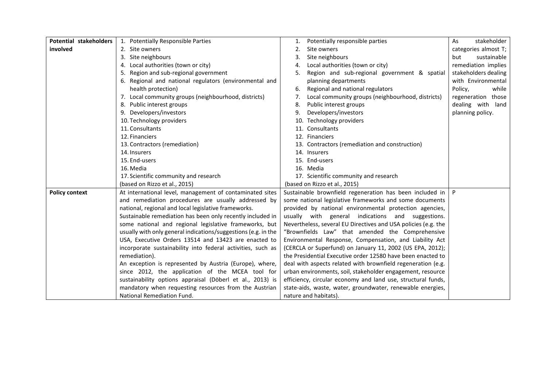| <b>Potential stakeholders</b> | 1. Potentially Responsible Parties                             | Potentially responsible parties<br>1.                          | stakeholder<br>As    |
|-------------------------------|----------------------------------------------------------------|----------------------------------------------------------------|----------------------|
| involved                      | 2. Site owners                                                 | Site owners<br>2.                                              | categories almost T; |
|                               | 3. Site neighbours                                             | Site neighbours<br>3.                                          | sustainable<br>but   |
|                               | 4. Local authorities (town or city)                            | Local authorities (town or city)<br>4.                         | remediation implies  |
|                               | Region and sub-regional government                             | Region and sub-regional government & spatial<br>5.             | stakeholders dealing |
|                               | 6. Regional and national regulators (environmental and         | planning departments                                           | with Environmental   |
|                               | health protection)                                             | Regional and national regulators<br>6.                         | Policy,<br>while     |
|                               | 7. Local community groups (neighbourhood, districts)           | Local community groups (neighbourhood, districts)<br>7.        | regeneration those   |
|                               | 8. Public interest groups                                      | Public interest groups<br>8.                                   | dealing with land    |
|                               | 9. Developers/investors                                        | Developers/investors<br>9.                                     | planning policy.     |
|                               | 10. Technology providers                                       | 10. Technology providers                                       |                      |
|                               | 11. Consultants                                                | 11. Consultants                                                |                      |
|                               | 12. Financiers                                                 | 12. Financiers                                                 |                      |
|                               | 13. Contractors (remediation)                                  | 13. Contractors (remediation and construction)                 |                      |
|                               | 14. Insurers                                                   | 14. Insurers                                                   |                      |
|                               | 15. End-users                                                  | 15. End-users                                                  |                      |
|                               | 16. Media                                                      | 16. Media                                                      |                      |
|                               | 17. Scientific community and research                          | 17. Scientific community and research                          |                      |
|                               | (based on Rizzo et al., 2015)                                  | (based on Rizzo et al., 2015)                                  |                      |
| <b>Policy context</b>         | At international level, management of contaminated sites       | Sustainable brownfield regeneration has been included in $ P $ |                      |
|                               | and remediation procedures are usually addressed by            | some national legislative frameworks and some documents        |                      |
|                               | national, regional and local legislative frameworks.           | provided by national environmental protection agencies,        |                      |
|                               | Sustainable remediation has been only recently included in     | usually with general indications and suggestions.              |                      |
|                               | some national and regional legislative frameworks, but         | Nevertheless, several EU Directives and USA policies (e.g. the |                      |
|                               | usually with only general indications/suggestions (e.g. in the | "Brownfields Law" that amended the Comprehensive               |                      |
|                               | USA, Executive Orders 13514 and 13423 are enacted to           | Environmental Response, Compensation, and Liability Act        |                      |
|                               | incorporate sustainability into federal activities, such as    | (CERCLA or Superfund) on January 11, 2002 (US EPA, 2012);      |                      |
|                               | remediation).                                                  | the Presidential Executive order 12580 have been enacted to    |                      |
|                               | An exception is represented by Austria (Europe), where,        | deal with aspects related with brownfield regeneration (e.g.   |                      |
|                               | since 2012, the application of the MCEA tool for               | urban environments, soil, stakeholder engagement, resource     |                      |
|                               | sustainability options appraisal (Döberl et al., 2013) is      | efficiency, circular economy and land use, structural funds,   |                      |
|                               | mandatory when requesting resources from the Austrian          | state-aids, waste, water, groundwater, renewable energies,     |                      |
|                               | National Remediation Fund.                                     | nature and habitats).                                          |                      |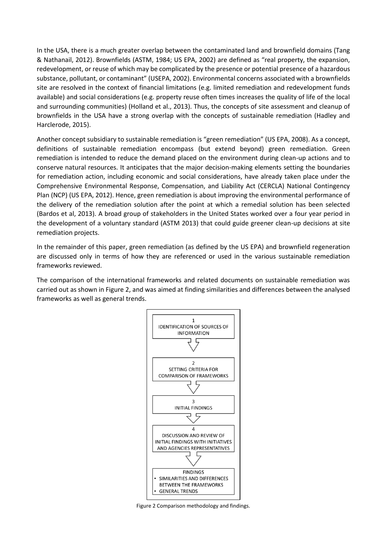In the USA, there is a much greater overlap between the contaminated land and brownfield domains (Tang & Nathanail, 2012). Brownfields (ASTM, 1984; US EPA, 2002) are defined as "real property, the expansion, redevelopment, or reuse of which may be complicated by the presence or potential presence of a hazardous substance, pollutant, or contaminant" (USEPA, 2002). Environmental concerns associated with a brownfields site are resolved in the context of financial limitations (e.g. limited remediation and redevelopment funds available) and social considerations (e.g. property reuse often times increases the quality of life of the local and surrounding communities) (Holland et al., 2013). Thus, the concepts of site assessment and cleanup of brownfields in the USA have a strong overlap with the concepts of sustainable remediation (Hadley and Harclerode, 2015).

Another concept subsidiary to sustainable remediation is "green remediation" (US EPA, 2008). As a concept, definitions of sustainable remediation encompass (but extend beyond) green remediation. Green remediation is intended to reduce the demand placed on the environment during clean-up actions and to conserve natural resources. It anticipates that the major decision-making elements setting the boundaries for remediation action, including economic and social considerations, have already taken place under the Comprehensive Environmental Response, Compensation, and Liability Act (CERCLA) National Contingency Plan (NCP) (US EPA, 2012). Hence, green remediation is about improving the environmental performance of the delivery of the remediation solution after the point at which a remedial solution has been selected (Bardos et al, 2013). A broad group of stakeholders in the United States worked over a four year period in the development of a voluntary standard (ASTM 2013) that could guide greener clean-up decisions at site remediation projects.

In the remainder of this paper, green remediation (as defined by the US EPA) and brownfield regeneration are discussed only in terms of how they are referenced or used in the various sustainable remediation frameworks reviewed.

The comparison of the international frameworks and related documents on sustainable remediation was carried out as shown i[n Figure 2,](#page-7-0) and was aimed at finding similarities and differences between the analysed frameworks as well as general trends.



<span id="page-7-0"></span>Figure 2 Comparison methodology and findings.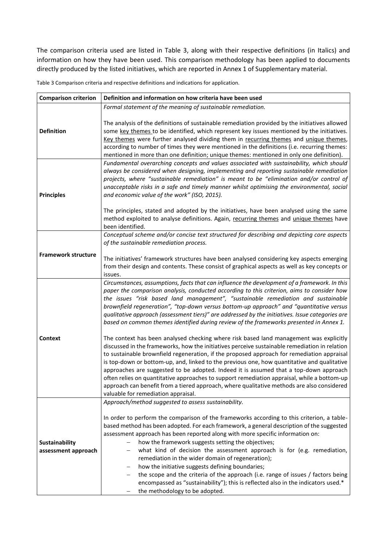The comparison criteria used are listed in [Table 3,](#page-8-0) along with their respective definitions (in Italics) and information on how they have been used. This comparison methodology has been applied to documents directly produced by the listed initiatives, which are reported in Annex 1 of Supplementary material.

<span id="page-8-0"></span>Table 3 Comparison criteria and respective definitions and indications for application.

| <b>Comparison criterion</b> | Definition and information on how criteria have been used                                                                                                                                                                                                                                                                                                                                                                    |
|-----------------------------|------------------------------------------------------------------------------------------------------------------------------------------------------------------------------------------------------------------------------------------------------------------------------------------------------------------------------------------------------------------------------------------------------------------------------|
|                             | Formal statement of the meaning of sustainable remediation.                                                                                                                                                                                                                                                                                                                                                                  |
| <b>Definition</b>           | The analysis of the definitions of sustainable remediation provided by the initiatives allowed<br>some key themes to be identified, which represent key issues mentioned by the initiatives.                                                                                                                                                                                                                                 |
|                             | Key themes were further analysed dividing them in recurring themes and unique themes,                                                                                                                                                                                                                                                                                                                                        |
|                             | according to number of times they were mentioned in the definitions (i.e. recurring themes:                                                                                                                                                                                                                                                                                                                                  |
|                             | mentioned in more than one definition; unique themes: mentioned in only one definition).                                                                                                                                                                                                                                                                                                                                     |
| <b>Principles</b>           | Fundamental overarching concepts and values associated with sustainability, which should<br>always be considered when designing, implementing and reporting sustainable remediation<br>projects, where "sustainable remediation" is meant to be "elimination and/or control of<br>unacceptable risks in a safe and timely manner whilst optimising the environmental, social<br>and economic value of the work" (ISO, 2015). |
|                             | The principles, stated and adopted by the initiatives, have been analysed using the same<br>method exploited to analyse definitions. Again, recurring themes and unique themes have<br>been identified.                                                                                                                                                                                                                      |
|                             | Conceptual scheme and/or concise text structured for describing and depicting core aspects                                                                                                                                                                                                                                                                                                                                   |
|                             | of the sustainable remediation process.                                                                                                                                                                                                                                                                                                                                                                                      |
| <b>Framework structure</b>  | The initiatives' framework structures have been analysed considering key aspects emerging                                                                                                                                                                                                                                                                                                                                    |
|                             | from their design and contents. These consist of graphical aspects as well as key concepts or                                                                                                                                                                                                                                                                                                                                |
|                             | issues.                                                                                                                                                                                                                                                                                                                                                                                                                      |
|                             | Circumstances, assumptions, facts that can influence the development of a framework. In this                                                                                                                                                                                                                                                                                                                                 |
|                             | paper the comparison analysis, conducted according to this criterion, aims to consider how<br>the issues "risk based land management", "sustainable remediation and sustainable                                                                                                                                                                                                                                              |
|                             | brownfield regeneration", "top-down versus bottom-up approach" and "quantitative versus                                                                                                                                                                                                                                                                                                                                      |
|                             | qualitative approach (assessment tiers)" are addressed by the initiatives. Issue categories are                                                                                                                                                                                                                                                                                                                              |
|                             | based on common themes identified during review of the frameworks presented in Annex 1.                                                                                                                                                                                                                                                                                                                                      |
| <b>Context</b>              | The context has been analysed checking where risk based land management was explicitly                                                                                                                                                                                                                                                                                                                                       |
|                             | discussed in the frameworks, how the initiatives perceive sustainable remediation in relation                                                                                                                                                                                                                                                                                                                                |
|                             | to sustainable brownfield regeneration, if the proposed approach for remediation appraisal                                                                                                                                                                                                                                                                                                                                   |
|                             | is top-down or bottom-up, and, linked to the previous one, how quantitative and qualitative<br>approaches are suggested to be adopted. Indeed it is assumed that a top-down approach                                                                                                                                                                                                                                         |
|                             | often relies on quantitative approaches to support remediation appraisal, while a bottom-up                                                                                                                                                                                                                                                                                                                                  |
|                             | approach can benefit from a tiered approach, where qualitative methods are also considered                                                                                                                                                                                                                                                                                                                                   |
|                             | valuable for remediation appraisal.                                                                                                                                                                                                                                                                                                                                                                                          |
|                             | Approach/method suggested to assess sustainability.                                                                                                                                                                                                                                                                                                                                                                          |
|                             | In order to perform the comparison of the frameworks according to this criterion, a table-                                                                                                                                                                                                                                                                                                                                   |
|                             | based method has been adopted. For each framework, a general description of the suggested                                                                                                                                                                                                                                                                                                                                    |
|                             | assessment approach has been reported along with more specific information on:                                                                                                                                                                                                                                                                                                                                               |
| Sustainability              | how the framework suggests setting the objectives;                                                                                                                                                                                                                                                                                                                                                                           |
| assessment approach         | what kind of decision the assessment approach is for (e.g. remediation,<br>remediation in the wider domain of regeneration);                                                                                                                                                                                                                                                                                                 |
|                             | how the initiative suggests defining boundaries;<br>$\overline{\phantom{m}}$                                                                                                                                                                                                                                                                                                                                                 |
|                             | the scope and the criteria of the approach (i.e. range of issues / factors being<br>$\qquad \qquad -$                                                                                                                                                                                                                                                                                                                        |
|                             | encompassed as "sustainability"); this is reflected also in the indicators used.*                                                                                                                                                                                                                                                                                                                                            |
|                             | the methodology to be adopted.<br>$\qquad \qquad -$                                                                                                                                                                                                                                                                                                                                                                          |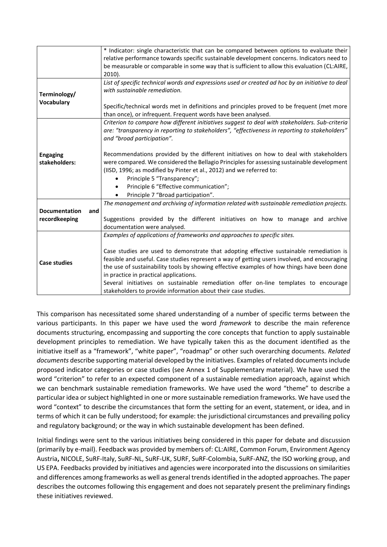|                             | * Indicator: single characteristic that can be compared between options to evaluate their        |
|-----------------------------|--------------------------------------------------------------------------------------------------|
|                             | relative performance towards specific sustainable development concerns. Indicators need to       |
|                             | be measurable or comparable in some way that is sufficient to allow this evaluation (CL:AIRE,    |
|                             | $2010$ ).                                                                                        |
|                             | List of specific technical words and expressions used or created ad hoc by an initiative to deal |
|                             | with sustainable remediation.                                                                    |
| Terminology/                |                                                                                                  |
| Vocabulary                  | Specific/technical words met in definitions and principles proved to be frequent (met more       |
|                             | than once), or infrequent. Frequent words have been analysed.                                    |
|                             | Criterion to compare how different initiatives suggest to deal with stakeholders. Sub-criteria   |
|                             |                                                                                                  |
|                             | are: "transparency in reporting to stakeholders", "effectiveness in reporting to stakeholders"   |
|                             | and "broad participation".                                                                       |
|                             |                                                                                                  |
| <b>Engaging</b>             | Recommendations provided by the different initiatives on how to deal with stakeholders           |
| stakeholders:               | were compared. We considered the Bellagio Principles for assessing sustainable development       |
|                             | (IISD, 1996; as modified by Pinter et al., 2012) and we referred to:                             |
|                             | Principle 5 "Transparency";<br>$\bullet$                                                         |
|                             | Principle 6 "Effective communication";                                                           |
|                             | Principle 7 "Broad participation".                                                               |
|                             | The management and archiving of information related with sustainable remediation projects.       |
|                             |                                                                                                  |
| <b>Documentation</b><br>and |                                                                                                  |
| recordkeeping               | Suggestions provided by the different initiatives on how to manage and archive                   |
|                             | documentation were analysed.                                                                     |
|                             | Examples of applications of frameworks and approaches to specific sites.                         |
|                             |                                                                                                  |
|                             | Case studies are used to demonstrate that adopting effective sustainable remediation is          |
|                             | feasible and useful. Case studies represent a way of getting users involved, and encouraging     |
| <b>Case studies</b>         | the use of sustainability tools by showing effective examples of how things have been done       |
|                             | in practice in practical applications.                                                           |
|                             | Several initiatives on sustainable remediation offer on-line templates to encourage              |
|                             | stakeholders to provide information about their case studies.                                    |
|                             |                                                                                                  |

This comparison has necessitated some shared understanding of a number of specific terms between the various participants. In this paper we have used the word *framework* to describe the main reference documents structuring, encompassing and supporting the core concepts that function to apply sustainable development principles to remediation. We have typically taken this as the document identified as the initiative itself as a "framework", "white paper", "roadmap" or other such overarching documents. *Related documents* describe supporting material developed by the initiatives. Examples of related documents include proposed indicator categories or case studies (see Annex 1 of Supplementary material). We have used the word "criterion" to refer to an expected component of a sustainable remediation approach, against which we can benchmark sustainable remediation frameworks. We have used the word "theme" to describe a particular idea or subject highlighted in one or more sustainable remediation frameworks. We have used the word "context" to describe the circumstances that form the setting for an event, statement, or idea, and in terms of which it can be fully understood; for example: the jurisdictional circumstances and prevailing policy and regulatory background; or the way in which sustainable development has been defined.

Initial findings were sent to the various initiatives being considered in this paper for debate and discussion (primarily by e-mail). Feedback was provided by members of: CL:AIRE, Common Forum, Environment Agency Austria**,** NICOLE, SuRF-Italy, SuRF-NL, SuRF-UK, SURF, SuRF-Colombia, SuRF-ANZ, the ISO working group, and US EPA. Feedbacks provided by initiatives and agencies were incorporated into the discussions on similarities and differences among frameworks as well as general trends identified in the adopted approaches. The paper describes the outcomes following this engagement and does not separately present the preliminary findings these initiatives reviewed.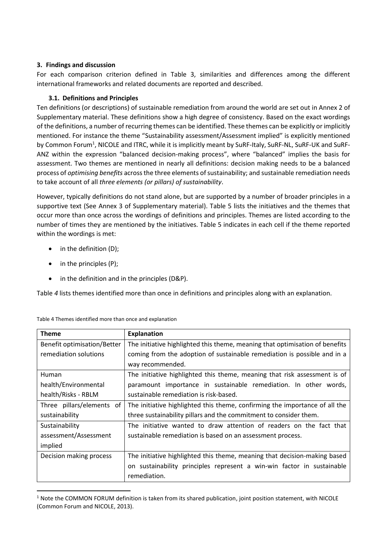### **3. Findings and discussion**

For each comparison criterion defined in [Table 3,](#page-8-0) similarities and differences among the different international frameworks and related documents are reported and described.

### **3.1. Definitions and Principles**

Ten definitions (or descriptions) of sustainable remediation from around the world are set out in Annex 2 of Supplementary material. These definitions show a high degree of consistency. Based on the exact wordings of the definitions, a number of recurring themes can be identified. These themes can be explicitly or implicitly mentioned. For instance the theme "Sustainability assessment/Assessment implied" is explicitly mentioned by Common Forum<sup>1</sup>, NICOLE and ITRC, while it is implicitly meant by SuRF-Italy, SuRF-NL, SuRF-UK and SuRF-ANZ within the expression "balanced decision-making process", where "balanced" implies the basis for assessment. Two themes are mentioned in nearly all definitions: decision making needs to be a balanced process of *optimising benefits* across the three elements of sustainability; and sustainable remediation needs to take account of all *three elements (or pillars) of sustainability*.

However, typically definitions do not stand alone, but are supported by a number of broader principles in a supportive text (See Annex 3 of Supplementary material). [Table 5](#page-12-0) lists the initiatives and the themes that occur more than once across the wordings of definitions and principles. Themes are listed according to the number of times they are mentioned by the initiatives. [Table 5](#page-12-0) indicates in each cell if the theme reported within the wordings is met:

- in the definition (D);
- $\bullet$  in the principles (P);
- in the definition and in the principles (D&P).

[Table](#page-10-0) *4* lists themes identified more than once in definitions and principles along with an explanation.

| <b>Theme</b>                | <b>Explanation</b>                                                           |
|-----------------------------|------------------------------------------------------------------------------|
| Benefit optimisation/Better | The initiative highlighted this theme, meaning that optimisation of benefits |
| remediation solutions       | coming from the adoption of sustainable remediation is possible and in a     |
|                             | way recommended.                                                             |
| Human                       | The initiative highlighted this theme, meaning that risk assessment is of    |
| health/Environmental        | paramount importance in sustainable remediation. In other words,             |
| health/Risks - RBLM         | sustainable remediation is risk-based.                                       |
| Three pillars/elements of   | The initiative highlighted this theme, confirming the importance of all the  |
| sustainability              | three sustainability pillars and the commitment to consider them.            |
| Sustainability              | The initiative wanted to draw attention of readers on the fact that          |
| assessment/Assessment       | sustainable remediation is based on an assessment process.                   |
| implied                     |                                                                              |
| Decision making process     | The initiative highlighted this theme, meaning that decision-making based    |
|                             | on sustainability principles represent a win-win factor in sustainable       |
|                             | remediation.                                                                 |

<span id="page-10-0"></span>Table 4 Themes identified more than once and explanation

 $1$  Note the COMMON FORUM definition is taken from its shared publication, joint position statement, with NICOLE (Common Forum and NICOLE, 2013).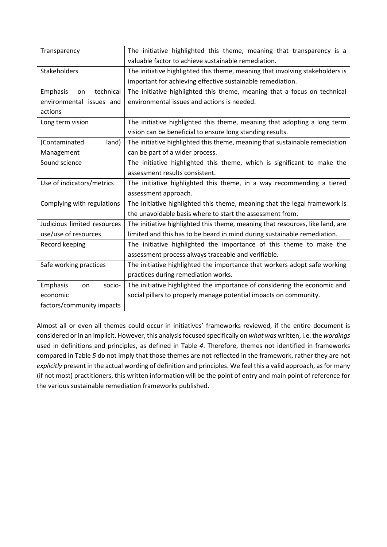| Transparency                | The initiative highlighted this theme, meaning that transparency is a         |  |  |  |  |  |  |  |
|-----------------------------|-------------------------------------------------------------------------------|--|--|--|--|--|--|--|
|                             | valuable factor to achieve sustainable remediation.                           |  |  |  |  |  |  |  |
| Stakeholders                | The initiative highlighted this theme, meaning that involving stakeholders is |  |  |  |  |  |  |  |
|                             | important for achieving effective sustainable remediation.                    |  |  |  |  |  |  |  |
| technical<br>Emphasis<br>on | The initiative highlighted this theme, meaning that a focus on technical      |  |  |  |  |  |  |  |
| environmental issues and    | environmental issues and actions is needed.                                   |  |  |  |  |  |  |  |
| actions                     |                                                                               |  |  |  |  |  |  |  |
| Long term vision            | The initiative highlighted this theme, meaning that adopting a long term      |  |  |  |  |  |  |  |
|                             | vision can be beneficial to ensure long standing results.                     |  |  |  |  |  |  |  |
| (Contaminated<br>land)      | The initiative highlighted this theme, meaning that sustainable remediation   |  |  |  |  |  |  |  |
| Management                  | can be part of a wider process.                                               |  |  |  |  |  |  |  |
| Sound science               | The initiative highlighted this theme, which is significant to make the       |  |  |  |  |  |  |  |
|                             | assessment results consistent.                                                |  |  |  |  |  |  |  |
| Use of indicators/metrics   | The initiative highlighted this theme, in a way recommending a tiered         |  |  |  |  |  |  |  |
|                             | assessment approach.                                                          |  |  |  |  |  |  |  |
| Complying with regulations  | The initiative highlighted this theme, meaning that the legal framework is    |  |  |  |  |  |  |  |
|                             | the unavoidable basis where to start the assessment from.                     |  |  |  |  |  |  |  |
| Judicious limited resources | The initiative highlighted this theme, meaning that resources, like land, are |  |  |  |  |  |  |  |
| use/use of resources        | limited and this has to be beard in mind during sustainable remediation.      |  |  |  |  |  |  |  |
| Record keeping              | The initiative highlighted the importance of this theme to make the           |  |  |  |  |  |  |  |
|                             | assessment process always traceable and verifiable.                           |  |  |  |  |  |  |  |
| Safe working practices      | The initiative highlighted the importance that workers adopt safe working     |  |  |  |  |  |  |  |
|                             | practices during remediation works.                                           |  |  |  |  |  |  |  |
| Emphasis<br>socio-<br>on    | The initiative highlighted the importance of considering the economic and     |  |  |  |  |  |  |  |
| economic                    | social pillars to properly manage potential impacts on community.             |  |  |  |  |  |  |  |
| factors/community impacts   |                                                                               |  |  |  |  |  |  |  |

Almost all or even all themes could occur in initiatives' frameworks reviewed, if the entire document is considered or in an implicit. However, this analysis focused specifically on *what was* written, i.e. the *wordings* used in definitions and principles, as defined in [Table](#page-10-0) *4*. Therefore, themes not identified in frameworks compared in [Table](#page-12-0) *5* do not imply that those themes are not reflected in the framework, rather they are not *explicitly* present in the actual wording of definition and principles. We feel this a valid approach, as for many (if not most) practitioners, this written information will be the point of entry and main point of reference for the various sustainable remediation frameworks published.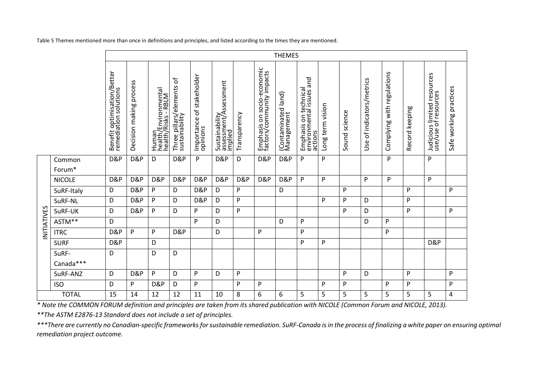|                    |               |                                                      | <b>THEMES</b>           |                                                      |                                             |                                       |                                                    |              |                                                         |                                   |                                                              |                  |               |                              |                            |                   |                                                     |                        |
|--------------------|---------------|------------------------------------------------------|-------------------------|------------------------------------------------------|---------------------------------------------|---------------------------------------|----------------------------------------------------|--------------|---------------------------------------------------------|-----------------------------------|--------------------------------------------------------------|------------------|---------------|------------------------------|----------------------------|-------------------|-----------------------------------------------------|------------------------|
|                    |               | Benefit optimisation/Better<br>remediation solutions | Decision making process | Human<br>health/Environmental<br>health/Risks - RBLM | Three pillars/elements of<br>sustainability | Importance of stakeholder<br>opinions | Sustainability<br>assessment/Assessment<br>implied | Transparency | Emphasis on socio-economic<br>factors/community impacts | (Contaminated land)<br>Management | Emphasis on technical<br>environmental issues and<br>actions | Long term vision | Sound science | of indicators/metrics<br>Use | Complying with regulations | keeping<br>Record | Judicious limited resources<br>use/use of resources | Safe working practices |
|                    | Common        | D&P                                                  | D&P                     | D                                                    | D&P                                         | P                                     | D&P                                                | D            | D&P                                                     | D&P                               | P                                                            | P                |               |                              | P                          |                   | P                                                   |                        |
|                    | Forum*        |                                                      |                         |                                                      |                                             |                                       |                                                    |              |                                                         |                                   |                                                              |                  |               |                              |                            |                   |                                                     |                        |
|                    | <b>NICOLE</b> | D&P                                                  | D&P                     | D&P                                                  | D&P                                         | D&P                                   | D&P                                                | D&P          | D&P                                                     | D&P                               | P                                                            | P                |               | P                            | P                          |                   | P                                                   |                        |
|                    | SuRF-Italy    | D                                                    | D&P                     | P                                                    | D                                           | D&P                                   | D                                                  | P            |                                                         | D                                 |                                                              |                  | P             |                              |                            | P                 |                                                     | P                      |
|                    | SuRF-NL       | D                                                    | D&P                     | P                                                    | D                                           | D&P                                   | D                                                  | P            |                                                         |                                   |                                                              | P                | P             | D                            |                            | P                 |                                                     |                        |
|                    | SuRF-UK       | D                                                    | D&P                     | P                                                    | D                                           | P                                     | D                                                  | P            |                                                         |                                   |                                                              |                  | $\mathsf{P}$  | D                            |                            | P                 |                                                     | P                      |
|                    | ASTM**        | D                                                    |                         |                                                      |                                             | P                                     | D                                                  |              |                                                         | D                                 | P                                                            |                  |               | D                            | P                          |                   |                                                     |                        |
| <b>INITIATIVES</b> | <b>ITRC</b>   | D&P                                                  | P                       | P                                                    | D&P                                         |                                       | D                                                  |              | P                                                       |                                   | P                                                            |                  |               |                              | P                          |                   |                                                     |                        |
|                    | <b>SURF</b>   | D&P                                                  |                         | D                                                    |                                             |                                       |                                                    |              |                                                         |                                   | P                                                            | P                |               |                              |                            |                   | D&P                                                 |                        |
|                    | SuRF-         | D                                                    |                         | D                                                    | D                                           |                                       |                                                    |              |                                                         |                                   |                                                              |                  |               |                              |                            |                   |                                                     |                        |
|                    | Canada***     |                                                      |                         |                                                      |                                             |                                       |                                                    |              |                                                         |                                   |                                                              |                  |               |                              |                            |                   |                                                     |                        |
|                    | SuRF-ANZ      | D                                                    | D&P                     | P                                                    | D                                           | P                                     | D                                                  | P            |                                                         |                                   |                                                              |                  | P             | D                            |                            | P                 |                                                     | P                      |
|                    | <b>ISO</b>    | D                                                    | P                       | D&P                                                  | D                                           | P                                     |                                                    | P            | P                                                       |                                   |                                                              | P                | P             |                              | P                          | P                 |                                                     | P                      |
|                    | <b>TOTAL</b>  | 15                                                   | 14                      | 12                                                   | 12                                          | 11                                    | 10                                                 | 8            | 6                                                       | 6                                 | 5                                                            | 5                | 5             | 5                            | 5                          | 5                 | 5                                                   | 4                      |

Table 5 Themes mentioned more than once in definitions and principles, and listed according to the times they are mentioned.

<span id="page-12-0"></span>*\* Note the COMMON FORUM definition and principles are taken from its shared publication with NICOLE (Common Forum and NICOLE, 2013).*

*\*\*The ASTM E2876-13 Standard does not include a set of principles.*

*\*\*\*There are currently no Canadian-specific frameworks for sustainable remediation. SuRF-Canada is in the process of finalizing a white paper on ensuring optimal remediation project outcome.*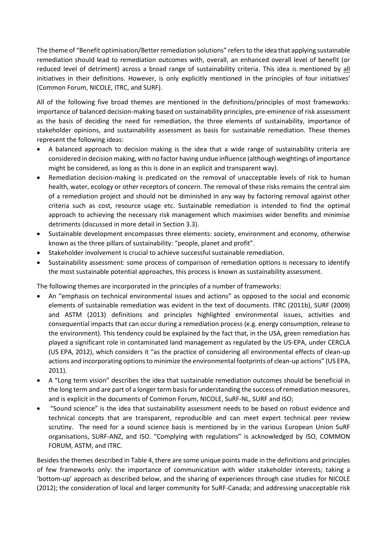The theme of "Benefit optimisation/Better remediation solutions" refers to the idea that applying sustainable remediation should lead to remediation outcomes with, overall, an enhanced overall level of benefit (or reduced level of detriment) across a broad range of sustainability criteria. This idea is mentioned by all initiatives in their definitions. However, is only explicitly mentioned in the principles of four initiatives' (Common Forum, NICOLE, ITRC, and SURF).

All of the following five broad themes are mentioned in the definitions/principles of most frameworks: importance of balanced decision-making based on sustainability principles, pre-eminence of risk assessment as the basis of deciding the need for remediation, the three elements of sustainability, importance of stakeholder opinions, and sustainability assessment as basis for sustainable remediation. These themes represent the following ideas:

- A balanced approach to decision making is the idea that a wide range of sustainability criteria are considered in decision making, with no factor having undue influence (although weightings of importance might be considered, as long as this is done in an explicit and transparent way).
- Remediation decision-making is predicated on the removal of unacceptable levels of risk to human health, water, ecology or other receptors of concern. The removal of these risks remains the central aim of a remediation project and should not be diminished in any way by factoring removal against other criteria such as cost, resource usage etc. Sustainable remediation is intended to find the optimal approach to achieving the necessary risk management which maximises wider benefits and minimise detriments (discussed in more detail in Section 3.3).
- Sustainable development encompasses three elements: society, environment and economy, otherwise known as the three pillars of sustainability: "people, planet and profit".
- Stakeholder involvement is crucial to achieve successful sustainable remediation.
- Sustainability assessment: some process of comparison of remediation options is necessary to identify the most sustainable potential approaches, this process is known as sustainability assessment.

The following themes are incorporated in the principles of a number of frameworks:

- An "emphasis on technical environmental issues and actions" as opposed to the social and economic elements of sustainable remediation was evident in the text of documents. ITRC (2011b), SURF (2009) and ASTM (2013) definitions and principles highlighted environmental issues, activities and consequential impacts that can occur during a remediation process (e.g. energy consumption, release to the environment). This tendency could be explained by the fact that, in the USA, green remediation has played a significant role in contaminated land management as regulated by the US-EPA, under CERCLA (US EPA, 2012), which considers it "as the practice of considering all environmental effects of clean-up actions and incorporating options to minimize the environmental footprints of clean-up actions" (US EPA, 2011).
- A "Long term vision" describes the idea that sustainable remediation outcomes should be beneficial in the long term and are part of a longer term basis for understanding the success of remediation measures, and is explicit in the documents of Common Forum, NICOLE, SuRF-NL, SURF and ISO;
- "Sound science" is the idea that sustainability assessment needs to be based on robust evidence and technical concepts that are transparent, reproducible and can meet expert technical peer review scrutiny. The need for a sound science basis is mentioned by in the various European Union SuRF organisations, SURF-ANZ, and ISO. "Complying with regulations" is acknowledged by ISO, COMMON FORUM, ASTM, and ITRC.

Besides the themes described i[n Table 4,](#page-10-0) there are some unique points made in the definitions and principles of few frameworks only: the importance of communication with wider stakeholder interests; taking a 'bottom-up' approach as described below, and the sharing of experiences through case studies for NICOLE (2012); the consideration of local and larger community for SuRF-Canada; and addressing unacceptable risk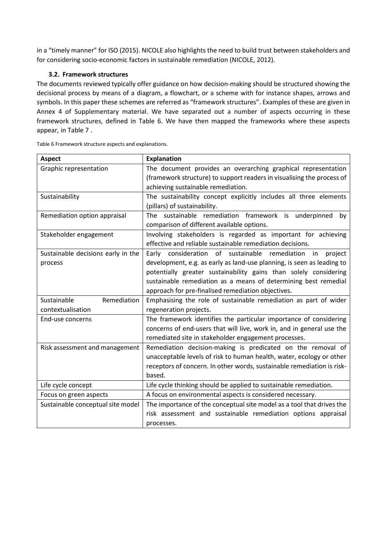in a "timely manner" for ISO (2015). NICOLE also highlights the need to build trust between stakeholders and for considering socio-economic factors in sustainable remediation (NICOLE, 2012).

### **3.2. Framework structures**

The documents reviewed typically offer guidance on how decision-making should be structured showing the decisional process by means of a diagram, a flowchart, or a scheme with for instance shapes, arrows and symbols. In this paper these schemes are referred as "framework structures". Examples of these are given in Annex 4 of Supplementary material. We have separated out a number of aspects occurring in these framework structures, defined in Table 6. We have then mapped the frameworks where these aspects appear, in [Table 7](#page-15-0) .

| <b>Aspect</b>                      | <b>Explanation</b>                                                     |  |  |  |  |  |  |
|------------------------------------|------------------------------------------------------------------------|--|--|--|--|--|--|
| Graphic representation             | The document provides an overarching graphical representation          |  |  |  |  |  |  |
|                                    | (framework structure) to support readers in visualising the process of |  |  |  |  |  |  |
|                                    | achieving sustainable remediation.                                     |  |  |  |  |  |  |
| Sustainability                     | The sustainability concept explicitly includes all three elements      |  |  |  |  |  |  |
|                                    | (pillars) of sustainability.                                           |  |  |  |  |  |  |
| Remediation option appraisal       | The sustainable remediation framework is<br>underpinned<br>by          |  |  |  |  |  |  |
|                                    | comparison of different available options.                             |  |  |  |  |  |  |
| Stakeholder engagement             | Involving stakeholders is regarded as important for achieving          |  |  |  |  |  |  |
|                                    | effective and reliable sustainable remediation decisions.              |  |  |  |  |  |  |
| Sustainable decisions early in the | Early consideration of sustainable remediation<br>project<br>in.       |  |  |  |  |  |  |
| process                            | development, e.g. as early as land-use planning, is seen as leading to |  |  |  |  |  |  |
|                                    | potentially greater sustainability gains than solely considering       |  |  |  |  |  |  |
|                                    | sustainable remediation as a means of determining best remedial        |  |  |  |  |  |  |
|                                    | approach for pre-finalised remediation objectives.                     |  |  |  |  |  |  |
| Sustainable<br>Remediation         | Emphasising the role of sustainable remediation as part of wider       |  |  |  |  |  |  |
| contextualisation                  | regeneration projects.                                                 |  |  |  |  |  |  |
| End-use concerns                   | The framework identifies the particular importance of considering      |  |  |  |  |  |  |
|                                    | concerns of end-users that will live, work in, and in general use the  |  |  |  |  |  |  |
|                                    | remediated site in stakeholder engagement processes.                   |  |  |  |  |  |  |
| Risk assessment and management     | Remediation decision-making is predicated on the removal of            |  |  |  |  |  |  |
|                                    | unacceptable levels of risk to human health, water, ecology or other   |  |  |  |  |  |  |
|                                    | receptors of concern. In other words, sustainable remediation is risk- |  |  |  |  |  |  |
|                                    | based.                                                                 |  |  |  |  |  |  |
| Life cycle concept                 | Life cycle thinking should be applied to sustainable remediation.      |  |  |  |  |  |  |
| Focus on green aspects             | A focus on environmental aspects is considered necessary.              |  |  |  |  |  |  |
| Sustainable conceptual site model  | The importance of the conceptual site model as a tool that drives the  |  |  |  |  |  |  |
|                                    | risk assessment and sustainable remediation options appraisal          |  |  |  |  |  |  |
|                                    | processes.                                                             |  |  |  |  |  |  |

Table 6 Framework structure aspects and explanations.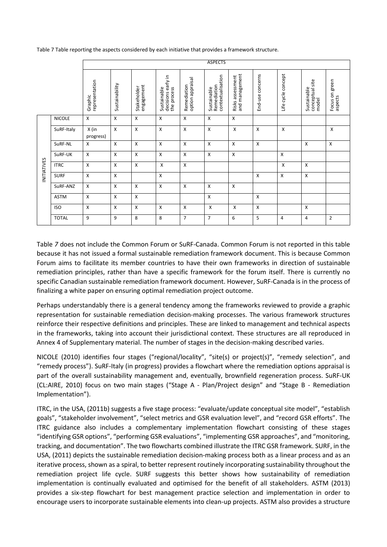<span id="page-15-0"></span>Table 7 Table reporting the aspects considered by each initiative that provides a framework structure.

|                    |               | <b>ASPECTS</b>            |                           |                           |                                                  |                                 |                                                 |                                    |                  |                           |                                         |                           |  |
|--------------------|---------------|---------------------------|---------------------------|---------------------------|--------------------------------------------------|---------------------------------|-------------------------------------------------|------------------------------------|------------------|---------------------------|-----------------------------------------|---------------------------|--|
|                    |               | representation<br>Graphic | Sustainability            | engagement<br>Stakeholder | Sustainable<br>decisions early in<br>the process | option appraisal<br>Remediation | contextualisation<br>Sustainable<br>Remediation | Risks assessment<br>and management | End-use concerns | Life cycle concept        | conceptual site<br>model<br>Sustainable | Focus on green<br>aspects |  |
|                    | <b>NICOLE</b> | X                         | $\boldsymbol{\mathsf{X}}$ | $\boldsymbol{\mathsf{X}}$ | $\boldsymbol{\mathsf{X}}$                        | X                               | X                                               | X                                  |                  |                           |                                         |                           |  |
|                    | SuRF-Italy    | X (in<br>progress)        | $\boldsymbol{\mathsf{X}}$ | X                         | $\times$                                         | X                               | X                                               | X                                  | X                | $\boldsymbol{\mathsf{x}}$ |                                         | X                         |  |
|                    | SuRF-NL       | X                         | X                         | $\boldsymbol{\mathsf{X}}$ | $\times$                                         | X                               | X                                               | X                                  | X                |                           | X                                       | X                         |  |
|                    | SuRF-UK       | X                         | $\boldsymbol{\mathsf{X}}$ | $\boldsymbol{\mathsf{X}}$ | $\boldsymbol{\mathsf{X}}$                        | X                               | X                                               | X                                  |                  | X                         |                                         |                           |  |
| <b>INITIATIVES</b> | <b>ITRC</b>   | X                         | X                         | $\boldsymbol{\mathsf{X}}$ | X                                                | X                               |                                                 |                                    |                  | $\boldsymbol{\mathsf{x}}$ | X                                       |                           |  |
|                    | <b>SURF</b>   | X                         | X                         |                           | $\boldsymbol{\mathsf{X}}$                        |                                 |                                                 |                                    | X                | $\boldsymbol{\mathsf{X}}$ | X                                       |                           |  |
|                    | SuRF-ANZ      | $\mathsf{x}$              | $\boldsymbol{\mathsf{X}}$ | $\boldsymbol{\mathsf{X}}$ | $\boldsymbol{\mathsf{x}}$                        | X                               | X                                               | $\boldsymbol{\mathsf{X}}$          |                  |                           |                                         |                           |  |
|                    | <b>ASTM</b>   | $\mathsf{x}$              | $\boldsymbol{\mathsf{X}}$ | $\boldsymbol{\mathsf{X}}$ |                                                  |                                 | X                                               |                                    | $\mathsf{x}$     |                           |                                         |                           |  |
|                    | <b>ISO</b>    | X                         | X                         | X                         | $\times$                                         | X                               | X                                               | X                                  | X                |                           | X                                       |                           |  |
|                    | <b>TOTAL</b>  | 9                         | 9                         | 8                         | 8                                                | $\overline{7}$                  | $\overline{7}$                                  | 6                                  | 5                | $\overline{4}$            | 4                                       | 2                         |  |

[Table](#page-15-0) *7* does not include the Common Forum or SuRF-Canada. Common Forum is not reported in this table because it has not issued a formal sustainable remediation framework document. This is because Common Forum aims to facilitate its member countries to have their own frameworks in direction of sustainable remediation principles, rather than have a specific framework for the forum itself. There is currently no specific Canadian sustainable remediation framework document. However, SuRF-Canada is in the process of finalizing a white paper on ensuring optimal remediation project outcome.

Perhaps understandably there is a general tendency among the frameworks reviewed to provide a graphic representation for sustainable remediation decision-making processes. The various framework structures reinforce their respective definitions and principles. These are linked to management and technical aspects in the frameworks, taking into account their jurisdictional context. These structures are all reproduced in Annex 4 of Supplementary material. The number of stages in the decision-making described varies.

NICOLE (2010) identifies four stages ("regional/locality", "site(s) or project(s)", "remedy selection", and "remedy process"). SuRF-Italy (in progress) provides a flowchart where the remediation options appraisal is part of the overall sustainability management and, eventually, brownfield regeneration process. SuRF-UK (CL:AIRE, 2010) focus on two main stages ("Stage A - Plan/Project design" and "Stage B - Remediation Implementation").

ITRC, in the USA, (2011b) suggests a five stage process: "evaluate/update conceptual site model", "establish goals", "stakeholder involvement", "select metrics and GSR evaluation level", and "record GSR efforts". The ITRC guidance also includes a complementary implementation flowchart consisting of these stages "identifying GSR options", "performing GSR evaluations", "implementing GSR approaches", and "monitoring, tracking, and documentation". The two flowcharts combined illustrate the ITRC GSR framework. SURF, in the USA, (2011) depicts the sustainable remediation decision-making process both as a linear process and as an iterative process, shown as a spiral, to better represent routinely incorporating sustainability throughout the remediation project life cycle. SURF suggests this better shows how sustainability of remediation implementation is continually evaluated and optimised for the benefit of all stakeholders. ASTM (2013) provides a six-step flowchart for best management practice selection and implementation in order to encourage users to incorporate sustainable elements into clean-up projects. ASTM also provides a structure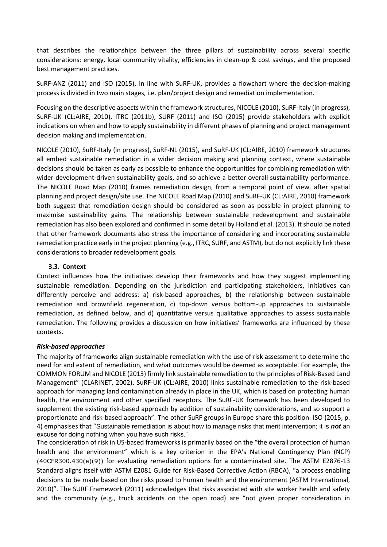that describes the relationships between the three pillars of sustainability across several specific considerations: energy, local community vitality, efficiencies in clean-up & cost savings, and the proposed best management practices.

SuRF-ANZ (2011) and ISO (2015), in line with SuRF-UK, provides a flowchart where the decision-making process is divided in two main stages, i.e. plan/project design and remediation implementation.

Focusing on the descriptive aspects within the framework structures, NICOLE (2010), SuRF-Italy (in progress), SuRF-UK (CL:AIRE, 2010), ITRC (2011b), SURF (2011) and ISO (2015) provide stakeholders with explicit indications on when and how to apply sustainability in different phases of planning and project management decision making and implementation.

NICOLE (2010), SuRF-Italy (in progress), SuRF-NL (2015), and SuRF-UK (CL:AIRE, 2010) framework structures all embed sustainable remediation in a wider decision making and planning context, where sustainable decisions should be taken as early as possible to enhance the opportunities for combining remediation with wider development-driven sustainability goals, and so achieve a better overall sustainability performance. The NICOLE Road Map (2010) frames remediation design, from a temporal point of view, after spatial planning and project design/site use. The NICOLE Road Map (2010) and SuRF-UK (CL:AIRE, 2010) framework both suggest that remediation design should be considered as soon as possible in project planning to maximise sustainability gains. The relationship between sustainable redevelopment and sustainable remediation has also been explored and confirmed in some detail by Holland et al. (2013). It should be noted that other framework documents also stress the importance of considering and incorporating sustainable remediation practice early in the project planning (e.g., ITRC, SURF, and ASTM), but do not explicitly link these considerations to broader redevelopment goals.

### **3.3. Context**

Context influences how the initiatives develop their frameworks and how they suggest implementing sustainable remediation. Depending on the jurisdiction and participating stakeholders, initiatives can differently perceive and address: a) risk-based approaches, b) the relationship between sustainable remediation and brownfield regeneration, c) top-down versus bottom-up approaches to sustainable remediation, as defined below, and d) quantitative versus qualitative approaches to assess sustainable remediation. The following provides a discussion on how initiatives' frameworks are influenced by these contexts.

### *Risk-based approaches*

The majority of frameworks align sustainable remediation with the use of risk assessment to determine the need for and extent of remediation, and what outcomes would be deemed as acceptable. For example, the COMMON FORUM and NICOLE (2013) firmly link sustainable remediation to the principles of Risk-Based Land Management" (CLARINET, 2002). SuRF-UK (CL:AIRE, 2010) links sustainable remediation to the risk-based approach for managing land contamination already in place in the UK, which is based on protecting human health, the environment and other specified receptors. The SuRF-UK framework has been developed to supplement the existing risk-based approach by addition of sustainability considerations, and so support a proportionate and risk-based approach". The other SuRF groups in Europe share this position. ISO (2015, p. 4) emphasises that "Sustainable remediation is about how to manage risks that merit intervention; it is *not* an excuse for doing nothing when you have such risks."

The consideration of risk in US-based frameworks is primarily based on the "the overall protection of human health and the environment" which is a key criterion in the EPA's National Contingency Plan (NCP) (40CFR300.430(e)(9)) for evaluating remediation options for a contaminated site. The ASTM E2876-13 Standard aligns itself with ASTM E2081 Guide for Risk-Based Corrective Action (RBCA), "a process enabling decisions to be made based on the risks posed to human health and the environment (ASTM International, 2010)". The SURF Framework (2011) acknowledges that risks associated with site worker health and safety and the community (e.g., truck accidents on the open road) are "not given proper consideration in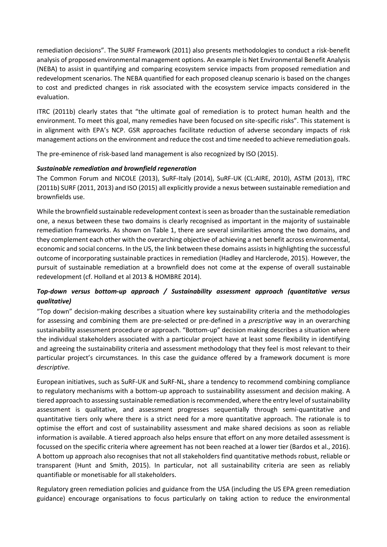remediation decisions". The SURF Framework (2011) also presents methodologies to conduct a risk-benefit analysis of proposed environmental management options. An example is Net Environmental Benefit Analysis (NEBA) to assist in quantifying and comparing ecosystem service impacts from proposed remediation and redevelopment scenarios. The NEBA quantified for each proposed cleanup scenario is based on the changes to cost and predicted changes in risk associated with the ecosystem service impacts considered in the evaluation.

ITRC (2011b) clearly states that "the ultimate goal of remediation is to protect human health and the environment. To meet this goal, many remedies have been focused on site-specific risks". This statement is in alignment with EPA's NCP. GSR approaches facilitate reduction of adverse secondary impacts of risk management actions on the environment and reduce the cost and time needed to achieve remediation goals.

The pre-eminence of risk-based land management is also recognized by ISO (2015).

# *Sustainable remediation and brownfield regeneration*

The Common Forum and NICOLE (2013), SuRF-Italy (2014), SuRF-UK (CL:AIRE, 2010), ASTM (2013), ITRC (2011b) SURF (2011, 2013) and ISO (2015) all explicitly provide a nexus between sustainable remediation and brownfields use.

While the brownfield sustainable redevelopment context is seen as broader than the sustainable remediation one, a nexus between these two domains is clearly recognised as important in the majority of sustainable remediation frameworks. As shown on Table 1, there are several similarities among the two domains, and they complement each other with the overarching objective of achieving a net benefit across environmental, economic and social concerns. In the US, the link between these domains assists in highlighting the successful outcome of incorporating sustainable practices in remediation (Hadley and Harclerode, 2015). However, the pursuit of sustainable remediation at a brownfield does not come at the expense of overall sustainable redevelopment (cf. Holland et al 2013 & HOMBRE 2014).

# *Top-down versus bottom-up approach / Sustainability assessment approach (quantitative versus qualitative)*

"Top down" decision-making describes a situation where key sustainability criteria and the methodologies for assessing and combining them are pre-selected or pre-defined in a *prescriptive* way in an overarching sustainability assessment procedure or approach. "Bottom-up" decision making describes a situation where the individual stakeholders associated with a particular project have at least some flexibility in identifying and agreeing the sustainability criteria and assessment methodology that they feel is most relevant to their particular project's circumstances. In this case the guidance offered by a framework document is more *descriptive.*

European initiatives, such as SuRF-UK and SuRF-NL, share a tendency to recommend combining compliance to regulatory mechanisms with a bottom-up approach to sustainability assessment and decision making. A tiered approach to assessing sustainable remediation is recommended, where the entry level of sustainability assessment is qualitative, and assessment progresses sequentially through semi-quantitative and quantitative tiers only where there is a strict need for a more quantitative approach. The rationale is to optimise the effort and cost of sustainability assessment and make shared decisions as soon as reliable information is available. A tiered approach also helps ensure that effort on any more detailed assessment is focussed on the specific criteria where agreement has not been reached at a lower tier (Bardos et al., 2016). A bottom up approach also recognises that not all stakeholders find quantitative methods robust, reliable or transparent (Hunt and Smith, 2015). In particular, not all sustainability criteria are seen as reliably quantifiable or monetisable for all stakeholders.

Regulatory green remediation policies and guidance from the USA (including the US EPA green remediation guidance) encourage organisations to focus particularly on taking action to reduce the environmental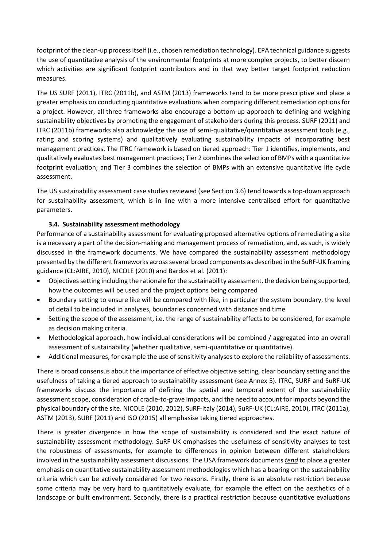footprint of the clean-up processitself (i.e., chosen remediation technology). EPA technical guidance suggests the use of quantitative analysis of the environmental footprints at more complex projects, to better discern which activities are significant footprint contributors and in that way better target footprint reduction measures.

The US SURF (2011), ITRC (2011b), and ASTM (2013) frameworks tend to be more prescriptive and place a greater emphasis on conducting quantitative evaluations when comparing different remediation options for a project. However, all three frameworks also encourage a bottom-up approach to defining and weighing sustainability objectives by promoting the engagement of stakeholders during this process. SURF (2011) and ITRC (2011b) frameworks also acknowledge the use of semi-qualitative/quantitative assessment tools (e.g., rating and scoring systems) and qualitatively evaluating sustainability impacts of incorporating best management practices. The ITRC framework is based on tiered approach: Tier 1 identifies, implements, and qualitatively evaluates best management practices; Tier 2 combines the selection of BMPs with a quantitative footprint evaluation; and Tier 3 combines the selection of BMPs with an extensive quantitative life cycle assessment.

The US sustainability assessment case studies reviewed (see Section 3.6) tend towards a top-down approach for sustainability assessment, which is in line with a more intensive centralised effort for quantitative parameters.

### **3.4. Sustainability assessment methodology**

Performance of a sustainability assessment for evaluating proposed alternative options of remediating a site is a necessary a part of the decision-making and management process of remediation, and, as such, is widely discussed in the framework documents. We have compared the sustainability assessment methodology presented by the different frameworks across several broad components as described in the SuRF-UK framing guidance (CL:AIRE, 2010), NICOLE (2010) and Bardos et al. (2011):

- Objectives setting including the rationale for the sustainability assessment, the decision being supported, how the outcomes will be used and the project options being compared
- Boundary setting to ensure like will be compared with like, in particular the system boundary, the level of detail to be included in analyses, boundaries concerned with distance and time
- Setting the scope of the assessment, i.e. the range of sustainability effects to be considered, for example as decision making criteria.
- Methodological approach, how individual considerations will be combined / aggregated into an overall assessment of sustainability (whether qualitative, semi-quantitative or quantitative).
- Additional measures, for example the use of sensitivity analyses to explore the reliability of assessments.

There is broad consensus about the importance of effective objective setting, clear boundary setting and the usefulness of taking a tiered approach to sustainability assessment (see Annex 5). ITRC, SURF and SuRF-UK frameworks discuss the importance of defining the spatial and temporal extent of the sustainability assessment scope, consideration of cradle-to-grave impacts, and the need to account for impacts beyond the physical boundary of the site. NICOLE (2010, 2012), SuRF-Italy (2014), SuRF-UK (CL:AIRE, 2010), ITRC (2011a), ASTM (2013), SURF (2011) and ISO (2015) all emphasise taking tiered approaches.

There is greater divergence in how the scope of sustainability is considered and the exact nature of sustainability assessment methodology. SuRF-UK emphasises the usefulness of sensitivity analyses to test the robustness of assessments, for example to differences in opinion between different stakeholders involved in the sustainability assessment discussions. The USA framework documents *tend* to place a greater emphasis on quantitative sustainability assessment methodologies which has a bearing on the sustainability criteria which can be actively considered for two reasons. Firstly, there is an absolute restriction because some criteria may be very hard to quantitatively evaluate, for example the effect on the aesthetics of a landscape or built environment. Secondly, there is a practical restriction because quantitative evaluations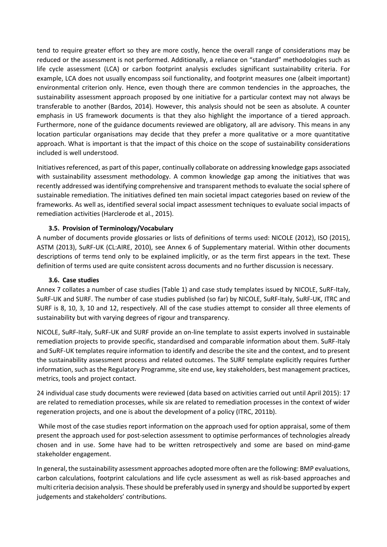tend to require greater effort so they are more costly, hence the overall range of considerations may be reduced or the assessment is not performed. Additionally, a reliance on "standard" methodologies such as life cycle assessment (LCA) or carbon footprint analysis excludes significant sustainability criteria. For example, LCA does not usually encompass soil functionality, and footprint measures one (albeit important) environmental criterion only. Hence, even though there are common tendencies in the approaches, the sustainability assessment approach proposed by one initiative for a particular context may not always be transferable to another (Bardos, 2014). However, this analysis should not be seen as absolute. A counter emphasis in US framework documents is that they also highlight the importance of a tiered approach. Furthermore, none of the guidance documents reviewed are obligatory, all are advisory. This means in any location particular organisations may decide that they prefer a more qualitative or a more quantitative approach. What is important is that the impact of this choice on the scope of sustainability considerations included is well understood.

Initiatives referenced, as part of this paper, continually collaborate on addressing knowledge gaps associated with sustainability assessment methodology. A common knowledge gap among the initiatives that was recently addressed was identifying comprehensive and transparent methods to evaluate the social sphere of sustainable remediation. The initiatives defined ten main societal impact categories based on review of the frameworks. As well as, identified several social impact assessment techniques to evaluate social impacts of remediation activities (Harclerode et al., 2015).

### **3.5. Provision of Terminology/Vocabulary**

A number of documents provide glossaries or lists of definitions of terms used: NICOLE (2012), ISO (2015), ASTM (2013), SuRF-UK (CL:AIRE, 2010), see Annex 6 of Supplementary material. Within other documents descriptions of terms tend only to be explained implicitly, or as the term first appears in the text. These definition of terms used are quite consistent across documents and no further discussion is necessary.

### **3.6. Case studies**

Annex 7 collates a number of case studies (Table 1) and case study templates issued by NICOLE, SuRF-Italy, SuRF-UK and SURF. The number of case studies published (so far) by NICOLE, SuRF-Italy, SuRF-UK, ITRC and SURF is 8, 10, 3, 10 and 12, respectively. All of the case studies attempt to consider all three elements of sustainability but with varying degrees of rigour and transparency.

NICOLE, SuRF-Italy, SuRF-UK and SURF provide an on-line template to assist experts involved in sustainable remediation projects to provide specific, standardised and comparable information about them. SuRF-Italy and SuRF-UK templates require information to identify and describe the site and the context, and to present the sustainability assessment process and related outcomes. The SURF template explicitly requires further information, such as the Regulatory Programme, site end use, key stakeholders, best management practices, metrics, tools and project contact.

24 individual case study documents were reviewed (data based on activities carried out until April 2015): 17 are related to remediation processes, while six are related to remediation processes in the context of wider regeneration projects, and one is about the development of a policy (ITRC, 2011b).

While most of the case studies report information on the approach used for option appraisal, some of them present the approach used for post-selection assessment to optimise performances of technologies already chosen and in use. Some have had to be written retrospectively and some are based on mind-game stakeholder engagement.

In general, the sustainability assessment approaches adopted more often are the following: BMP evaluations, carbon calculations, footprint calculations and life cycle assessment as well as risk-based approaches and multi criteria decision analysis. These should be preferably used in synergy and should be supported by expert judgements and stakeholders' contributions.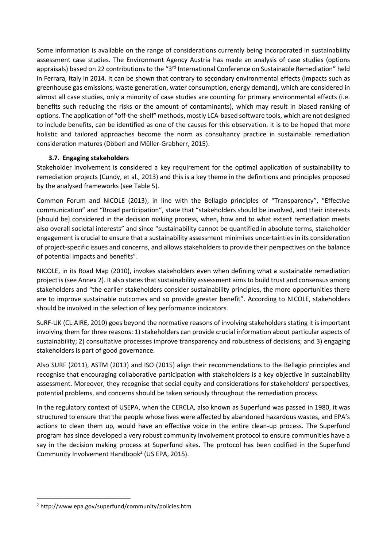Some information is available on the range of considerations currently being incorporated in sustainability assessment case studies. The Environment Agency Austria has made an analysis of case studies (options appraisals) based on 22 contributions to the "3<sup>rd</sup> International Conference on Sustainable Remediation" held in Ferrara, Italy in 2014. It can be shown that contrary to secondary environmental effects (impacts such as greenhouse gas emissions, waste generation, water consumption, energy demand), which are considered in almost all case studies, only a minority of case studies are counting for primary environmental effects (i.e. benefits such reducing the risks or the amount of contaminants), which may result in biased ranking of options. The application of "off-the-shelf" methods, mostly LCA-based software tools, which are not designed to include benefits, can be identified as one of the causes for this observation. It is to be hoped that more holistic and tailored approaches become the norm as consultancy practice in sustainable remediation consideration matures (Döberl and Müller-Grabherr, 2015).

### **3.7. Engaging stakeholders**

Stakeholder involvement is considered a key requirement for the optimal application of sustainability to remediation projects (Cundy, et al., 2013) and this is a key theme in the definitions and principles proposed by the analysed frameworks (see [Table 5\)](#page-12-0).

Common Forum and NICOLE (2013), in line with the Bellagio principles of "Transparency", "Effective communication" and "Broad participation", state that "stakeholders should be involved, and their interests [should be] considered in the decision making process, when, how and to what extent remediation meets also overall societal interests" and since "sustainability cannot be quantified in absolute terms, stakeholder engagement is crucial to ensure that a sustainability assessment minimises uncertainties in its consideration of project-specific issues and concerns, and allows stakeholders to provide their perspectives on the balance of potential impacts and benefits".

NICOLE, in its Road Map (2010), invokes stakeholders even when defining what a sustainable remediation project is (see Annex 2). It also states that sustainability assessment aims to build trust and consensus among stakeholders and "the earlier stakeholders consider sustainability principles, the more opportunities there are to improve sustainable outcomes and so provide greater benefit". According to NICOLE, stakeholders should be involved in the selection of key performance indicators.

SuRF-UK (CL:AIRE, 2010) goes beyond the normative reasons of involving stakeholders stating it is important involving them for three reasons: 1) stakeholders can provide crucial information about particular aspects of sustainability; 2) consultative processes improve transparency and robustness of decisions; and 3) engaging stakeholders is part of good governance.

Also SURF (2011), ASTM (2013) and ISO (2015) align their recommendations to the Bellagio principles and recognise that encouraging collaborative participation with stakeholders is a key objective in sustainability assessment. Moreover, they recognise that social equity and considerations for stakeholders' perspectives, potential problems, and concerns should be taken seriously throughout the remediation process.

In the regulatory context of USEPA, when the CERCLA, also known as Superfund was passed in 1980, it was structured to ensure that the people whose lives were affected by abandoned hazardous wastes, and EPA's actions to clean them up, would have an effective voice in the entire clean-up process. The Superfund program has since developed a very robust community involvement protocol to ensure communities have a say in the decision making process at Superfund sites. The protocol has been codified in the Superfund Community Involvement Handbook<sup>2</sup> (US EPA, 2015).

<sup>2</sup> http://www.epa.gov/superfund/community/policies.htm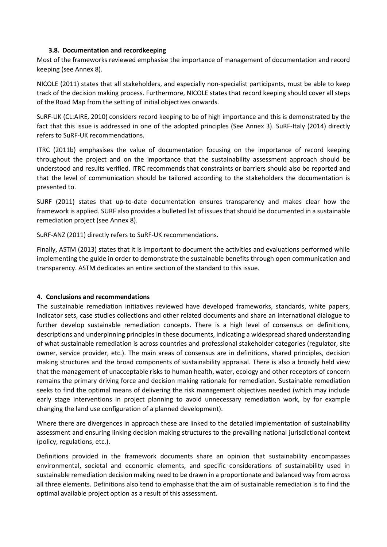### **3.8. Documentation and recordkeeping**

Most of the frameworks reviewed emphasise the importance of management of documentation and record keeping (see Annex 8).

NICOLE (2011) states that all stakeholders, and especially non-specialist participants, must be able to keep track of the decision making process. Furthermore, NICOLE states that record keeping should cover all steps of the Road Map from the setting of initial objectives onwards.

SuRF-UK (CL:AIRE, 2010) considers record keeping to be of high importance and this is demonstrated by the fact that this issue is addressed in one of the adopted principles (See Annex 3). SuRF-Italy (2014) directly refers to SuRF-UK recommendations.

ITRC (2011b) emphasises the value of documentation focusing on the importance of record keeping throughout the project and on the importance that the sustainability assessment approach should be understood and results verified. ITRC recommends that constraints or barriers should also be reported and that the level of communication should be tailored according to the stakeholders the documentation is presented to.

SURF (2011) states that up-to-date documentation ensures transparency and makes clear how the framework is applied. SURF also provides a bulleted list of issues that should be documented in a sustainable remediation project (see Annex 8).

SuRF-ANZ (2011) directly refers to SuRF-UK recommendations.

Finally, ASTM (2013) states that it is important to document the activities and evaluations performed while implementing the guide in order to demonstrate the sustainable benefits through open communication and transparency. ASTM dedicates an entire section of the standard to this issue.

### **4. Conclusions and recommendations**

The sustainable remediation initiatives reviewed have developed frameworks, standards, white papers, indicator sets, case studies collections and other related documents and share an international dialogue to further develop sustainable remediation concepts. There is a high level of consensus on definitions, descriptions and underpinning principles in these documents, indicating a widespread shared understanding of what sustainable remediation is across countries and professional stakeholder categories (regulator, site owner, service provider, etc.). The main areas of consensus are in definitions, shared principles, decision making structures and the broad components of sustainability appraisal. There is also a broadly held view that the management of unacceptable risks to human health, water, ecology and other receptors of concern remains the primary driving force and decision making rationale for remediation. Sustainable remediation seeks to find the optimal means of delivering the risk management objectives needed (which may include early stage interventions in project planning to avoid unnecessary remediation work, by for example changing the land use configuration of a planned development).

Where there are divergences in approach these are linked to the detailed implementation of sustainability assessment and ensuring linking decision making structures to the prevailing national jurisdictional context (policy, regulations, etc.).

Definitions provided in the framework documents share an opinion that sustainability encompasses environmental, societal and economic elements, and specific considerations of sustainability used in sustainable remediation decision making need to be drawn in a proportionate and balanced way from across all three elements. Definitions also tend to emphasise that the aim of sustainable remediation is to find the optimal available project option as a result of this assessment.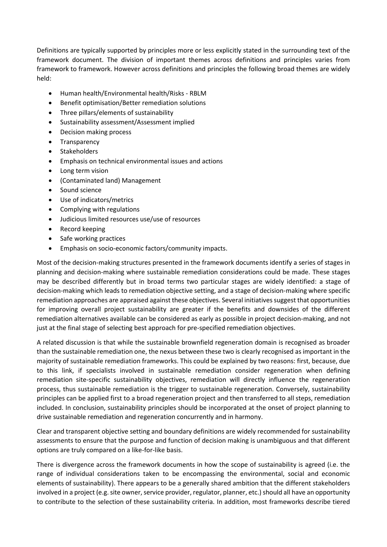Definitions are typically supported by principles more or less explicitly stated in the surrounding text of the framework document. The division of important themes across definitions and principles varies from framework to framework. However across definitions and principles the following broad themes are widely held:

- Human health/Environmental health/Risks RBLM
- Benefit optimisation/Better remediation solutions
- Three pillars/elements of sustainability
- Sustainability assessment/Assessment implied
- Decision making process
- Transparency
- Stakeholders
- Emphasis on technical environmental issues and actions
- Long term vision
- (Contaminated land) Management
- Sound science
- Use of indicators/metrics
- Complying with regulations
- Judicious limited resources use/use of resources
- Record keeping
- Safe working practices
- Emphasis on socio-economic factors/community impacts.

Most of the decision-making structures presented in the framework documents identify a series of stages in planning and decision-making where sustainable remediation considerations could be made. These stages may be described differently but in broad terms two particular stages are widely identified: a stage of decision-making which leads to remediation objective setting, and a stage of decision-making where specific remediation approaches are appraised against these objectives. Several initiatives suggest that opportunities for improving overall project sustainability are greater if the benefits and downsides of the different remediation alternatives available can be considered as early as possible in project decision-making, and not just at the final stage of selecting best approach for pre-specified remediation objectives.

A related discussion is that while the sustainable brownfield regeneration domain is recognised as broader than the sustainable remediation one, the nexus between these two is clearly recognised as important in the majority of sustainable remediation frameworks. This could be explained by two reasons: first, because, due to this link, if specialists involved in sustainable remediation consider regeneration when defining remediation site-specific sustainability objectives, remediation will directly influence the regeneration process, thus sustainable remediation is the trigger to sustainable regeneration. Conversely, sustainability principles can be applied first to a broad regeneration project and then transferred to all steps, remediation included. In conclusion, sustainability principles should be incorporated at the onset of project planning to drive sustainable remediation and regeneration concurrently and in harmony.

Clear and transparent objective setting and boundary definitions are widely recommended for sustainability assessments to ensure that the purpose and function of decision making is unambiguous and that different options are truly compared on a like-for-like basis.

There is divergence across the framework documents in how the scope of sustainability is agreed (i.e. the range of individual considerations taken to be encompassing the environmental, social and economic elements of sustainability). There appears to be a generally shared ambition that the different stakeholders involved in a project (e.g. site owner, service provider, regulator, planner, etc.) should all have an opportunity to contribute to the selection of these sustainability criteria. In addition, most frameworks describe tiered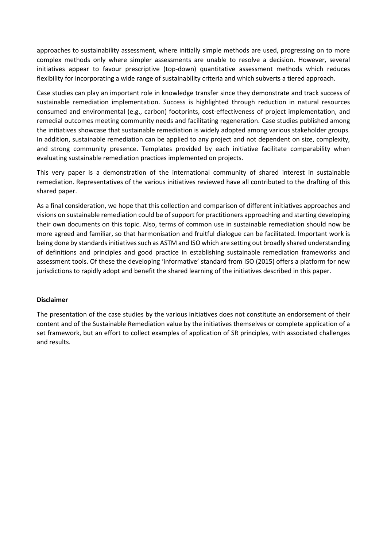approaches to sustainability assessment, where initially simple methods are used, progressing on to more complex methods only where simpler assessments are unable to resolve a decision. However, several initiatives appear to favour prescriptive (top-down) quantitative assessment methods which reduces flexibility for incorporating a wide range of sustainability criteria and which subverts a tiered approach.

Case studies can play an important role in knowledge transfer since they demonstrate and track success of sustainable remediation implementation. Success is highlighted through reduction in natural resources consumed and environmental (e.g., carbon) footprints, cost-effectiveness of project implementation, and remedial outcomes meeting community needs and facilitating regeneration. Case studies published among the initiatives showcase that sustainable remediation is widely adopted among various stakeholder groups. In addition, sustainable remediation can be applied to any project and not dependent on size, complexity, and strong community presence. Templates provided by each initiative facilitate comparability when evaluating sustainable remediation practices implemented on projects.

This very paper is a demonstration of the international community of shared interest in sustainable remediation. Representatives of the various initiatives reviewed have all contributed to the drafting of this shared paper.

As a final consideration, we hope that this collection and comparison of different initiatives approaches and visions on sustainable remediation could be of support for practitioners approaching and starting developing their own documents on this topic. Also, terms of common use in sustainable remediation should now be more agreed and familiar, so that harmonisation and fruitful dialogue can be facilitated. Important work is being done by standards initiatives such as ASTM and ISO which are setting out broadly shared understanding of definitions and principles and good practice in establishing sustainable remediation frameworks and assessment tools. Of these the developing 'informative' standard from ISO (2015) offers a platform for new jurisdictions to rapidly adopt and benefit the shared learning of the initiatives described in this paper.

### **Disclaimer**

The presentation of the case studies by the various initiatives does not constitute an endorsement of their content and of the Sustainable Remediation value by the initiatives themselves or complete application of a set framework, but an effort to collect examples of application of SR principles, with associated challenges and results.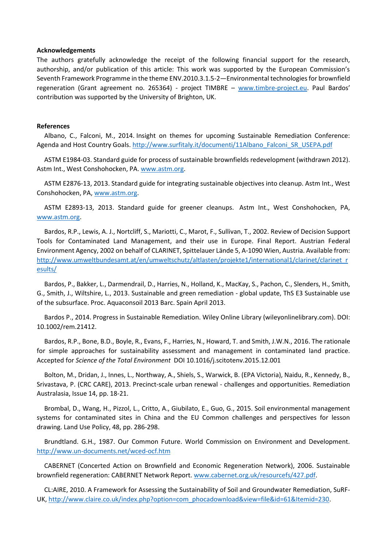#### **Acknowledgements**

The authors gratefully acknowledge the receipt of the following financial support for the research, authorship, and/or publication of this article: This work was supported by the European Commission's Seventh Framework Programme in the theme ENV.2010.3.1.5-2—Environmental technologies for brownfield regeneration (Grant agreement no. 265364) - project TIMBRE – [www.timbre-project.eu.](http://www.timbre-project.eu/) Paul Bardos' contribution was supported by the University of Brighton, UK.

#### **References**

Albano, C., Falconi, M., 2014. Insight on themes for upcoming Sustainable Remediation Conference: Agenda and Host Country Goals. [http://www.surfitaly.it/documenti/11Albano\\_Falconi\\_SR\\_USEPA.pdf](http://www.surfitaly.it/documenti/11Albano_Falconi_SR_USEPA.pdf)

ASTM E1984-03. Standard guide for process of sustainable brownfields redevelopment (withdrawn 2012). Astm Int., West Conshohocken, PA. [www.astm.org.](http://www.astm.org/)

ASTM E2876-13, 2013. Standard guide for integrating sustainable objectives into cleanup. Astm Int., West Conshohocken, PA, [www.astm.org.](http://www.astm.org/)

ASTM E2893-13, 2013. Standard guide for greener cleanups. Astm Int., West Conshohocken, PA, [www.astm.org.](http://www.astm.org/)

Bardos, R.P., Lewis, A. J., Nortcliff, S., Mariotti, C., Marot, F., Sullivan, T., 2002. Review of Decision Support Tools for Contaminated Land Management, and their use in Europe. Final Report. Austrian Federal Environment Agency, 2002 on behalf of CLARINET, Spittelauer Lände 5, A-1090 Wien, Austria. Available from: [http://www.umweltbundesamt.at/en/umweltschutz/altlasten/projekte1/international1/clarinet/clarinet\\_r](http://www.umweltbundesamt.at/en/umweltschutz/altlasten/projekte1/international1/clarinet/clarinet_results/) [esults/](http://www.umweltbundesamt.at/en/umweltschutz/altlasten/projekte1/international1/clarinet/clarinet_results/)

Bardos, P., Bakker, L., Darmendrail, D., Harries, N., Holland, K., MacKay, S., Pachon, C., Slenders, H., Smith, G., Smith, J., Wiltshire, L., 2013. Sustainable and green remediation - global update, ThS E3 Sustainable use of the subsurface. Proc. Aquaconsoil 2013 Barc. Spain April 2013.

Bardos P., 2014. Progress in Sustainable Remediation. Wiley Online Library (wileyonlinelibrary.com). DOI: 10.1002/rem.21412.

Bardos, R.P., Bone, B.D., Boyle, R., Evans, F., Harries, N., Howard, T. and Smith, J.W.N., 2016. The rationale for simple approaches for sustainability assessment and management in contaminated land practice. Accepted for *Science of the Total Environment* DOI 10.1016/j.scitotenv.2015.12.001

Bolton, M., Dridan, J., Innes, L., Northway, A., Shiels, S., Warwick, B. (EPA Victoria), Naidu, R., Kennedy, B., Srivastava, P. (CRC CARE), 2013. Precinct-scale urban renewal - challenges and opportunities. Remediation Australasia, Issue 14, pp. 18-21.

Brombal, D., Wang, H., Pizzol, L., Critto, A., Giubilato, E., Guo, G., 2015. Soil environmental management systems for contaminated sites in China and the EU Common challenges and perspectives for lesson drawing. Land Use Policy, 48, pp. 286-298.

Brundtland. G.H., 1987. Our Common Future. World Commission on Environment and Development. <http://www.un-documents.net/wced-ocf.htm>

CABERNET (Concerted Action on Brownfield and Economic Regeneration Network), 2006. Sustainable brownfield regeneration: CABERNET Network Report. [www.cabernet.org.uk/resourcefs/427.pdf.](http://www.cabernet.org.uk/resourcefs/427.pdf)

CL:AIRE, 2010. A Framework for Assessing the Sustainability of Soil and Groundwater Remediation, SuRF-UK[, http://www.claire.co.uk/index.php?option=com\\_phocadownload&view=file&id=61&Itemid=230.](http://www.claire.co.uk/index.php?option=com_phocadownload&view=file&id=61&Itemid=230)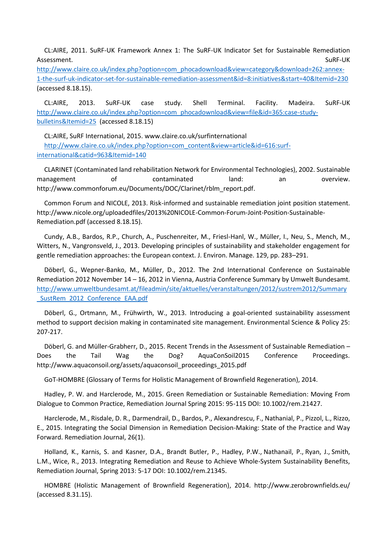CL:AIRE, 2011. SuRF-UK Framework Annex 1: The SuRF-UK Indicator Set for Sustainable Remediation Assessment. Surface of the control of the control of the control of the control of the control of the control of the control of the control of the control of the control of the control of the control of the control of the

[http://www.claire.co.uk/index.php?option=com\\_phocadownload&view=category&download=262:annex-](http://www.claire.co.uk/index.php?option=com_phocadownload&view=category&download=262:annex-1-the-surf-uk-indicator-set-for-sustainable-remediation-assessment&id=8:initiatives&start=40&Itemid=230)[1-the-surf-uk-indicator-set-for-sustainable-remediation-assessment&id=8:initiatives&start=40&Itemid=230](http://www.claire.co.uk/index.php?option=com_phocadownload&view=category&download=262:annex-1-the-surf-uk-indicator-set-for-sustainable-remediation-assessment&id=8:initiatives&start=40&Itemid=230) (accessed 8.18.15).

CL:AIRE, 2013. SuRF-UK case study. Shell Terminal. Facility. Madeira. SuRF-UK [http://www.claire.co.uk/index.php?option=com\\_phocadownload&view=file&id=365:case-study](http://www.claire.co.uk/index.php?option=com_phocadownload&view=file&id=365:case-study-bulletins&Itemid=25)[bulletins&Itemid=25](http://www.claire.co.uk/index.php?option=com_phocadownload&view=file&id=365:case-study-bulletins&Itemid=25) (accessed 8.18.15)

CL:AIRE, SuRF International, 2015. www.claire.co.uk/surfinternational [http://www.claire.co.uk/index.php?option=com\\_content&view=article&id=616:surf](http://www.claire.co.uk/index.php?option=com_content&view=article&id=616:surf-international&catid=963&Itemid=140)[international&catid=963&Itemid=140](http://www.claire.co.uk/index.php?option=com_content&view=article&id=616:surf-international&catid=963&Itemid=140)

CLARINET (Contaminated land rehabilitation Network for Environmental Technologies), 2002. Sustainable management of contaminated land: an overview. http://www.commonforum.eu/Documents/DOC/Clarinet/rblm\_report.pdf.

Common Forum and NICOLE, 2013. Risk-informed and sustainable remediation joint position statement. http://www.nicole.org/uploadedfiles/2013%20NICOLE-Common-Forum-Joint-Position-Sustainable-Remediation.pdf (accessed 8.18.15).

Cundy, A.B., Bardos, R.P., Church, A., Puschenreiter, M., Friesl-Hanl, W., Müller, I., Neu, S., Mench, M., Witters, N., Vangronsveld, J., 2013. Developing principles of sustainability and stakeholder engagement for gentle remediation approaches: the European context. J. Environ. Manage. 129, pp. 283–291.

Döberl, G., Wepner-Banko, M., Müller, D., 2012. The 2nd International Conference on Sustainable Remediation 2012 November 14 – 16, 2012 in Vienna, Austria Conference Summary by Umwelt Bundesamt. [http://www.umweltbundesamt.at/fileadmin/site/aktuelles/veranstaltungen/2012/sustrem2012/Summary](http://www.umweltbundesamt.at/fileadmin/site/aktuelles/veranstaltungen/2012/sustrem2012/Summary_SustRem_2012_Conference_EAA.pdf) SustRem\_2012\_Conference\_EAA.pdf

Döberl, G., Ortmann, M., Frühwirth, W., 2013. Introducing a goal-oriented sustainability assessment method to support decision making in contaminated site management. Environmental Science & Policy 25: 207-217.

Döberl, G. and Müller-Grabherr, D., 2015. Recent Trends in the Assessment of Sustainable Remediation – Does the Tail Wag the Dog? AquaConSoil2015 Conference Proceedings. http://www.aquaconsoil.org/assets/aquaconsoil\_proceedings\_2015.pdf

GoT-HOMBRE (Glossary of Terms for Holistic Management of Brownfield Regeneration), 2014.

Hadley, P. W. and Harclerode, M., 2015. Green Remediation or Sustainable Remediation: Moving From Dialogue to Common Practice, Remediation Journal Spring 2015: 95-115 DOI: 10.1002/rem.21427.

Harclerode, M., Risdale, D. R., Darmendrail, D., Bardos, P., Alexandrescu, F., Nathanial, P., Pizzol, L., Rizzo, E., 2015. Integrating the Social Dimension in Remediation Decision-Making: State of the Practice and Way Forward. Remediation Journal, 26(1).

Holland, K., Karnis, S. and Kasner, D.A., Brandt Butler, P., Hadley, P.W., Nathanail, P., Ryan, J., Smith, L.M., Wice, R., 2013. Integrating Remediation and Reuse to Achieve Whole-System Sustainability Benefits, Remediation Journal, Spring 2013: 5-17 DOI: 10.1002/rem.21345.

HOMBRE (Holistic Management of Brownfield Regeneration), 2014. http://www.zerobrownfields.eu/ (accessed 8.31.15).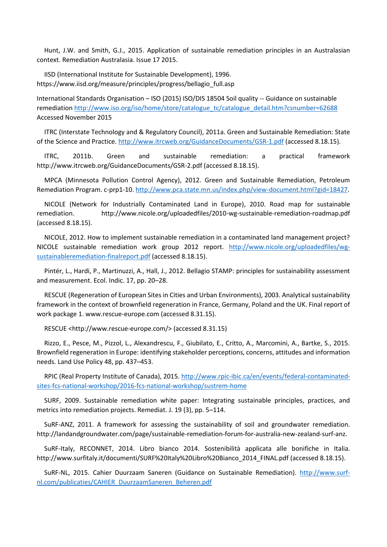Hunt, J.W. and Smith, G.J., 2015. Application of sustainable remediation principles in an Australasian context. Remediation Australasia. Issue 17 2015.

IISD (International Institute for Sustainable Development), 1996. https://www.iisd.org/measure/principles/progress/bellagio\_full.asp

International Standards Organisation – ISO (2015) ISO/DIS 18504 Soil quality -- Guidance on sustainable remediation [http://www.iso.org/iso/home/store/catalogue\\_tc/catalogue\\_detail.htm?csnumber=62688](http://www.iso.org/iso/home/store/catalogue_tc/catalogue_detail.htm?csnumber=62688) Accessed November 2015

ITRC (Interstate Technology and & Regulatory Council), 2011a. Green and Sustainable Remediation: State of the Science and Practice.<http://www.itrcweb.org/GuidanceDocuments/GSR-1.pdf> (accessed 8.18.15).

ITRC, 2011b. Green and sustainable remediation: a practical framework http://www.itrcweb.org/GuidanceDocuments/GSR-2.pdf (accessed 8.18.15).

MPCA (Minnesota Pollution Control Agency), 2012. Green and Sustainable Remediation, Petroleum Remediation Program. c-prp1-10[. http://www.pca.state.mn.us/index.php/view-document.html?gid=18427.](http://www.pca.state.mn.us/index.php/view-document.html?gid=18427)

NICOLE (Network for Industrially Contaminated Land in Europe), 2010. Road map for sustainable remediation. http://www.nicole.org/uploadedfiles/2010-wg-sustainable-remediation-roadmap.pdf (accessed 8.18.15).

NICOLE, 2012. How to implement sustainable remediation in a contaminated land management project? NICOLE sustainable remediation work group 2012 report. [http://www.nicole.org/uploadedfiles/wg](http://www.nicole.org/uploadedfiles/wg-sustainableremediation-finalreport.pdf)[sustainableremediation-finalreport.pdf](http://www.nicole.org/uploadedfiles/wg-sustainableremediation-finalreport.pdf) (accessed 8.18.15).

Pintér, L., Hardi, P., Martinuzzi, A., Hall, J., 2012. Bellagio STAMP: principles for sustainability assessment and measurement. Ecol. Indic. 17, pp. 20–28.

RESCUE (Regeneration of European Sites in Cities and Urban Environments), 2003. Analytical sustainability framework in the context of brownfield regeneration in France, Germany, Poland and the UK. Final report of work package 1. www.rescue-europe.com (accessed 8.31.15).

RESCUE <http://www.rescue-europe.com/> (accessed 8.31.15)

Rizzo, E., Pesce, M., Pizzol, L., Alexandrescu, F., Giubilato, E., Critto, A., Marcomini, A., Bartke, S., 2015. Brownfield regeneration in Europe: identifying stakeholder perceptions, concerns, attitudes and information needs. Land Use Policy 48, pp. 437–453.

RPIC (Real Property Institute of Canada), 2015. [http://www.rpic-ibic.ca/en/events/federal-contaminated](http://www.rpic-ibic.ca/en/events/federal-contaminated-sites-fcs-national-workshop/2016-fcs-national-workshop/sustrem-home)[sites-fcs-national-workshop/2016-fcs-national-workshop/sustrem-home](http://www.rpic-ibic.ca/en/events/federal-contaminated-sites-fcs-national-workshop/2016-fcs-national-workshop/sustrem-home)

SURF, 2009. Sustainable remediation white paper: Integrating sustainable principles, practices, and metrics into remediation projects. Remediat. J. 19 (3), pp. 5–114.

SuRF-ANZ, 2011. A framework for assessing the sustainability of soil and groundwater remediation. http://landandgroundwater.com/page/sustainable-remediation-forum-for-australia-new-zealand-surf-anz.

SuRF-Italy, RECONNET, 2014. Libro bianco 2014. Sostenibilità applicata alle bonifiche in Italia. http://www.surfitaly.it/documenti/SURF%20Italy%20Libro%20Bianco\_2014\_FINAL.pdf (accessed 8.18.15).

SuRF-NL, 2015. Cahier Duurzaam Saneren (Guidance on Sustainable Remediation). [http://www.surf](http://www.surf-nl.com/publicaties/CAHIER_DuurzaamSaneren_Beheren.pdf)[nl.com/publicaties/CAHIER\\_DuurzaamSaneren\\_Beheren.pdf](http://www.surf-nl.com/publicaties/CAHIER_DuurzaamSaneren_Beheren.pdf)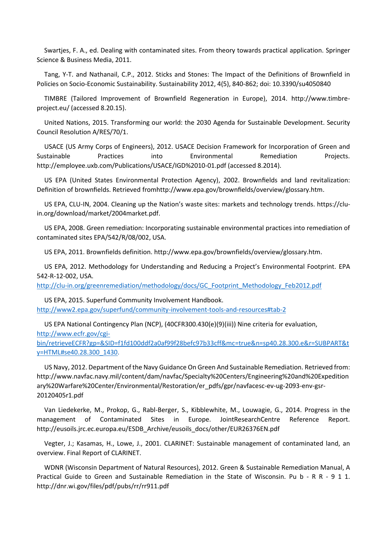Swartjes, F. A., ed. Dealing with contaminated sites. From theory towards practical application. Springer Science & Business Media, 2011.

Tang, Y-T. and Nathanail, C.P., 2012. Sticks and Stones: The Impact of the Definitions of Brownfield in Policies on Socio-Economic Sustainability. Sustainability 2012, 4(5), 840-862; doi: [10.3390/su4050840](http://dx.doi.org/10.3390/su4050840)

TIMBRE (Tailored Improvement of Brownfield Regeneration in Europe), 2014. http://www.timbreproject.eu/ (accessed 8.20.15).

United Nations, 2015. Transforming our world: the 2030 Agenda for Sustainable Development. Security Council Resolution A/RES/70/1.

USACE (US Army Corps of Engineers), 2012. USACE Decision Framework for Incorporation of Green and Sustainable Practices into Environmental Remediation Projects. <http://employee.uxb.com/Publications/USACE/IGD%2010-01.pdf> (accessed 8.2014).

US EPA (United States Environmental Protection Agency), 2002. Brownfields and land revitalization: Definition of brownfields. Retrieved fromhttp://www.epa.gov/brownfields/overview/glossary.htm.

US EPA, CLU-IN, 2004. Cleaning up the Nation's waste sites: markets and technology trends. [https://clu](https://clu-in.org/download/market/2004market.pdf)[in.org/download/market/2004market.pdf.](https://clu-in.org/download/market/2004market.pdf)

US EPA, 2008. Green remediation: Incorporating sustainable environmental practices into remediation of contaminated sites EPA/542/R/08/002, USA.

US EPA, 2011. Brownfields definition. http://www.epa.gov/brownfields/overview/glossary.htm.

US EPA, 2012. Methodology for Understanding and Reducing a Project's Environmental Footprint. EPA 542-R-12-002, USA.

[http://clu-in.org/greenremediation/methodology/docs/GC\\_Footprint\\_Methodology\\_Feb2012.pdf](http://clu-in.org/greenremediation/methodology/docs/GC_Footprint_Methodology_Feb2012.pdf)

US EPA, 2015. Superfund Community Involvement Handbook. <http://www2.epa.gov/superfund/community-involvement-tools-and-resources#tab-2>

US EPA National Contingency Plan (NCP), (40CFR300.430(e)(9)(iii)) Nine criteria for evaluation, [http://www.ecfr.gov/cgi-](http://www.ecfr.gov/cgi-bin/retrieveECFR?gp=&SID=f1fd100ddf2a0af99f28befc97b33cff&mc=true&n=sp40.28.300.e&r=SUBPART&ty=HTML#se40.28.300_1430)

[bin/retrieveECFR?gp=&SID=f1fd100ddf2a0af99f28befc97b33cff&mc=true&n=sp40.28.300.e&r=SUBPART&t](http://www.ecfr.gov/cgi-bin/retrieveECFR?gp=&SID=f1fd100ddf2a0af99f28befc97b33cff&mc=true&n=sp40.28.300.e&r=SUBPART&ty=HTML#se40.28.300_1430) [y=HTML#se40.28.300\\_1430.](http://www.ecfr.gov/cgi-bin/retrieveECFR?gp=&SID=f1fd100ddf2a0af99f28befc97b33cff&mc=true&n=sp40.28.300.e&r=SUBPART&ty=HTML#se40.28.300_1430)

US Navy, 2012. Department of the Navy Guidance On Green And Sustainable Remediation. Retrieved from: [http://www.navfac.navy.mil/content/dam/navfac/Specialty%20Centers/Engineering%20and%20Expedition](http://www.navfac.navy.mil/content/dam/navfac/Specialty%20Centers/Engineering%20and%20Expeditionary%20Warfare%20Center/Environmental/Restoration/er_pdfs/gpr/navfacesc-ev-ug-2093-env-gsr-20120405r1.pdf) [ary%20Warfare%20Center/Environmental/Restoration/er\\_pdfs/gpr/navfacesc-ev-ug-2093-env-gsr-](http://www.navfac.navy.mil/content/dam/navfac/Specialty%20Centers/Engineering%20and%20Expeditionary%20Warfare%20Center/Environmental/Restoration/er_pdfs/gpr/navfacesc-ev-ug-2093-env-gsr-20120405r1.pdf)[20120405r1.pdf](http://www.navfac.navy.mil/content/dam/navfac/Specialty%20Centers/Engineering%20and%20Expeditionary%20Warfare%20Center/Environmental/Restoration/er_pdfs/gpr/navfacesc-ev-ug-2093-env-gsr-20120405r1.pdf)

Van Liedekerke, M., Prokop, G., Rabl-Berger, S., Kibblewhite, M., Louwagie, G., 2014. Progress in the management of Contaminated Sites in Europe. JointResearchCentre Reference Report. [http://eusoils.jrc.ec.europa.eu/ESDB\\_Archive/eusoils\\_docs/other/EUR26376EN.pdf](http://eusoils.jrc.ec.europa.eu/ESDB_Archive/eusoils_docs/other/EUR26376EN.pdf)

Vegter, J.; Kasamas, H., Lowe, J., 2001. CLARINET: Sustainable management of contaminated land, an overview. Final Report of CLARINET.

WDNR (Wisconsin Department of Natural Resources), 2012. Green & Sustainable Remediation Manual, A Practical Guide to Green and Sustainable Remediation in the State of Wisconsin. Pu b - R R - 9 1 1. <http://dnr.wi.gov/files/pdf/pubs/rr/rr911.pdf>